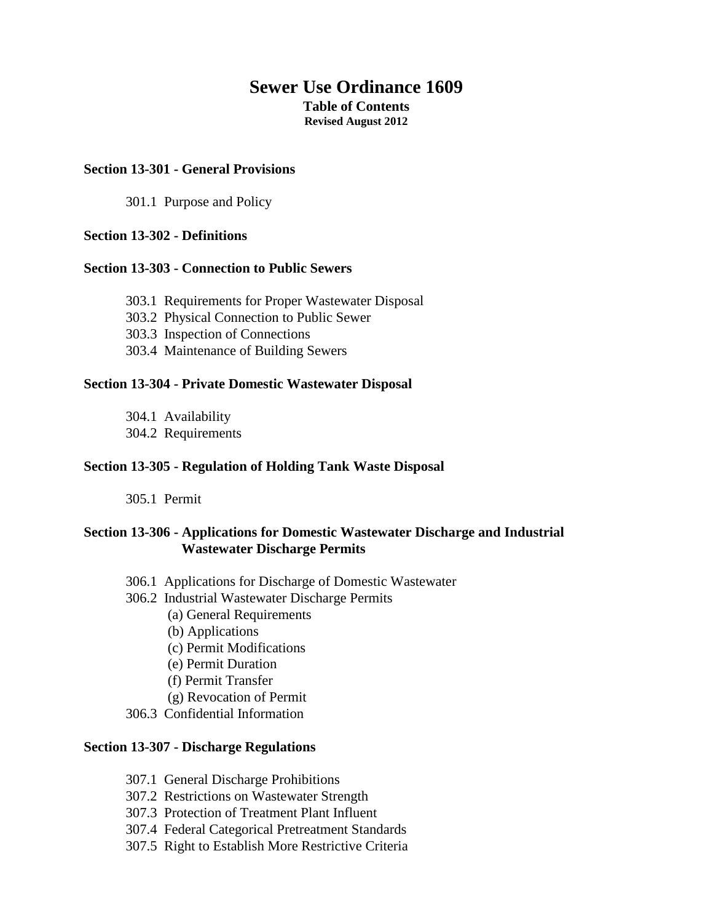# **Sewer Use Ordinance 1609 Table of Contents Revised August 2012**

### **Section 13-301 - General Provisions**

301.1 Purpose and Policy

### **Section 13-302 - Definitions**

#### **Section 13-303 - Connection to Public Sewers**

- 303.1 Requirements for Proper Wastewater Disposal
- 303.2 Physical Connection to Public Sewer
- 303.3 Inspection of Connections
- 303.4 Maintenance of Building Sewers

#### **Section 13-304 - Private Domestic Wastewater Disposal**

- 304.1 Availability
- 304.2 Requirements

### **Section 13-305 - Regulation of Holding Tank Waste Disposal**

305.1 Permit

## **Section 13-306 - Applications for Domestic Wastewater Discharge and Industrial Wastewater Discharge Permits**

- 306.1 Applications for Discharge of Domestic Wastewater
- 306.2 Industrial Wastewater Discharge Permits
	- (a) General Requirements
	- (b) Applications
	- (c) Permit Modifications
	- (e) Permit Duration
	- (f) Permit Transfer
	- (g) Revocation of Permit
- 306.3 Confidential Information

#### **Section 13-307 - Discharge Regulations**

- 307.1 General Discharge Prohibitions
- 307.2 Restrictions on Wastewater Strength
- 307.3 Protection of Treatment Plant Influent
- 307.4 Federal Categorical Pretreatment Standards
- 307.5 Right to Establish More Restrictive Criteria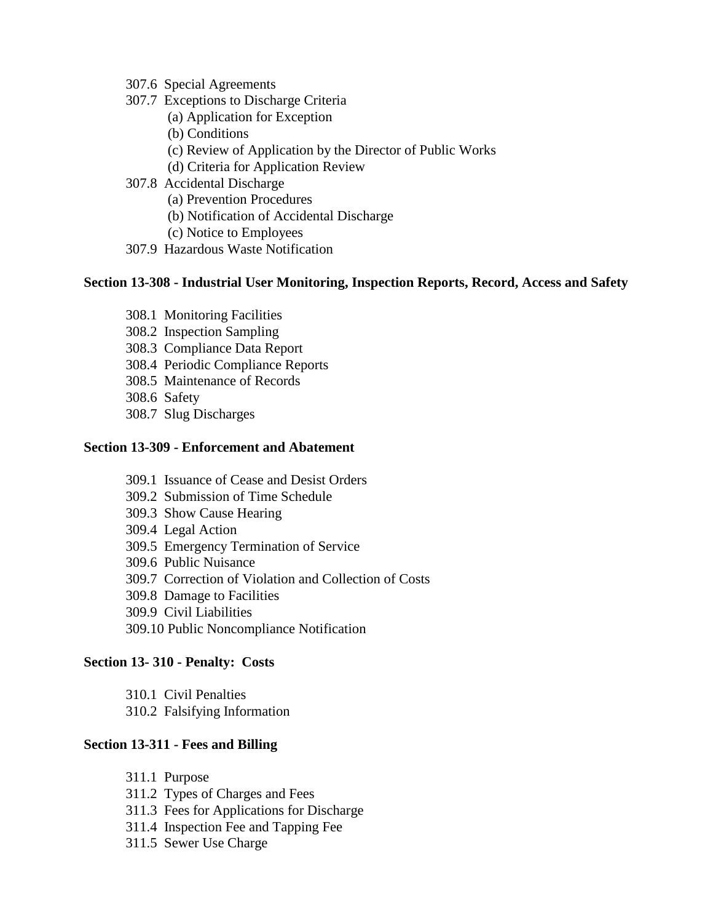- 307.6 Special Agreements
- 307.7 Exceptions to Discharge Criteria
	- (a) Application for Exception
	- (b) Conditions
	- (c) Review of Application by the Director of Public Works
	- (d) Criteria for Application Review
- 307.8 Accidental Discharge
	- (a) Prevention Procedures
	- (b) Notification of Accidental Discharge
	- (c) Notice to Employees
- 307.9 Hazardous Waste Notification

### **Section 13-308 - Industrial User Monitoring, Inspection Reports, Record, Access and Safety**

- 308.1 Monitoring Facilities
- 308.2 Inspection Sampling
- 308.3 Compliance Data Report
- 308.4 Periodic Compliance Reports
- 308.5 Maintenance of Records
- 308.6 Safety
- 308.7 Slug Discharges

#### **Section 13-309 - Enforcement and Abatement**

- 309.1 Issuance of Cease and Desist Orders
- 309.2 Submission of Time Schedule
- 309.3 Show Cause Hearing
- 309.4 Legal Action
- 309.5 Emergency Termination of Service
- 309.6 Public Nuisance
- 309.7 Correction of Violation and Collection of Costs
- 309.8 Damage to Facilities
- 309.9 Civil Liabilities
- 309.10 Public Noncompliance Notification

#### **Section 13- 310 - Penalty: Costs**

- 310.1 Civil Penalties
- 310.2 Falsifying Information

## **Section 13-311 - Fees and Billing**

- 311.1 Purpose
- 311.2 Types of Charges and Fees
- 311.3 Fees for Applications for Discharge
- 311.4 Inspection Fee and Tapping Fee
- 311.5 Sewer Use Charge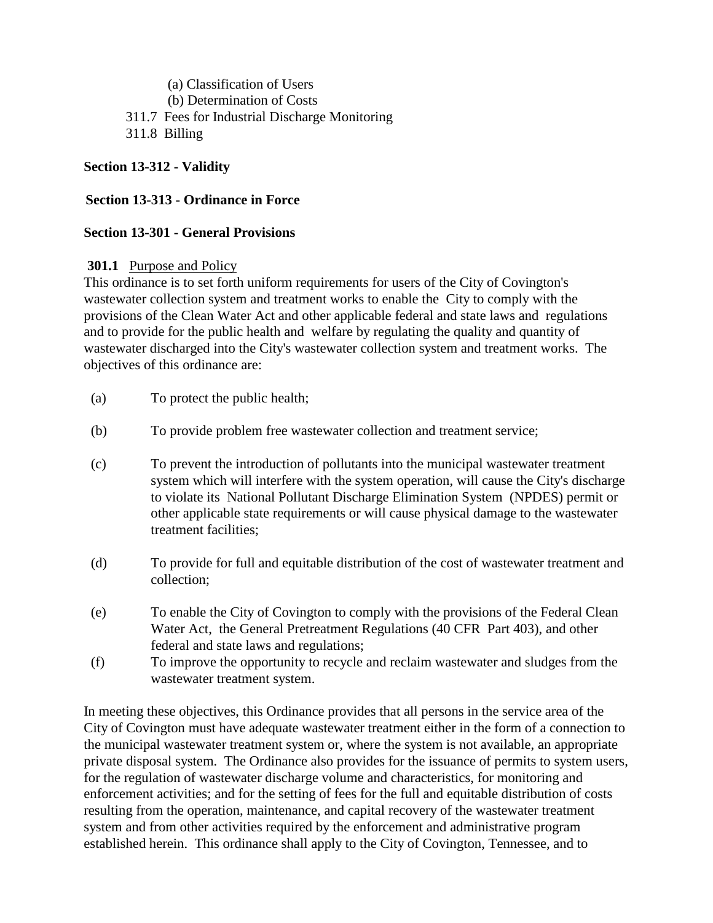(a) Classification of Users (b) Determination of Costs 311.7 Fees for Industrial Discharge Monitoring 311.8 Billing

# **Section 13-312 - Validity**

# **Section 13-313 - Ordinance in Force**

# **Section 13-301 - General Provisions**

## **301.1** Purpose and Policy

This ordinance is to set forth uniform requirements for users of the City of Covington's wastewater collection system and treatment works to enable the City to comply with the provisions of the Clean Water Act and other applicable federal and state laws and regulations and to provide for the public health and welfare by regulating the quality and quantity of wastewater discharged into the City's wastewater collection system and treatment works. The objectives of this ordinance are:

- (a) To protect the public health;
- (b) To provide problem free wastewater collection and treatment service;
- (c) To prevent the introduction of pollutants into the municipal wastewater treatment system which will interfere with the system operation, will cause the City's discharge to violate its National Pollutant Discharge Elimination System (NPDES) permit or other applicable state requirements or will cause physical damage to the wastewater treatment facilities;
- (d) To provide for full and equitable distribution of the cost of wastewater treatment and collection;
- (e) To enable the City of Covington to comply with the provisions of the Federal Clean Water Act, the General Pretreatment Regulations (40 CFR Part 403), and other federal and state laws and regulations;
- (f) To improve the opportunity to recycle and reclaim wastewater and sludges from the wastewater treatment system.

In meeting these objectives, this Ordinance provides that all persons in the service area of the City of Covington must have adequate wastewater treatment either in the form of a connection to the municipal wastewater treatment system or, where the system is not available, an appropriate private disposal system. The Ordinance also provides for the issuance of permits to system users, for the regulation of wastewater discharge volume and characteristics, for monitoring and enforcement activities; and for the setting of fees for the full and equitable distribution of costs resulting from the operation, maintenance, and capital recovery of the wastewater treatment system and from other activities required by the enforcement and administrative program established herein. This ordinance shall apply to the City of Covington, Tennessee, and to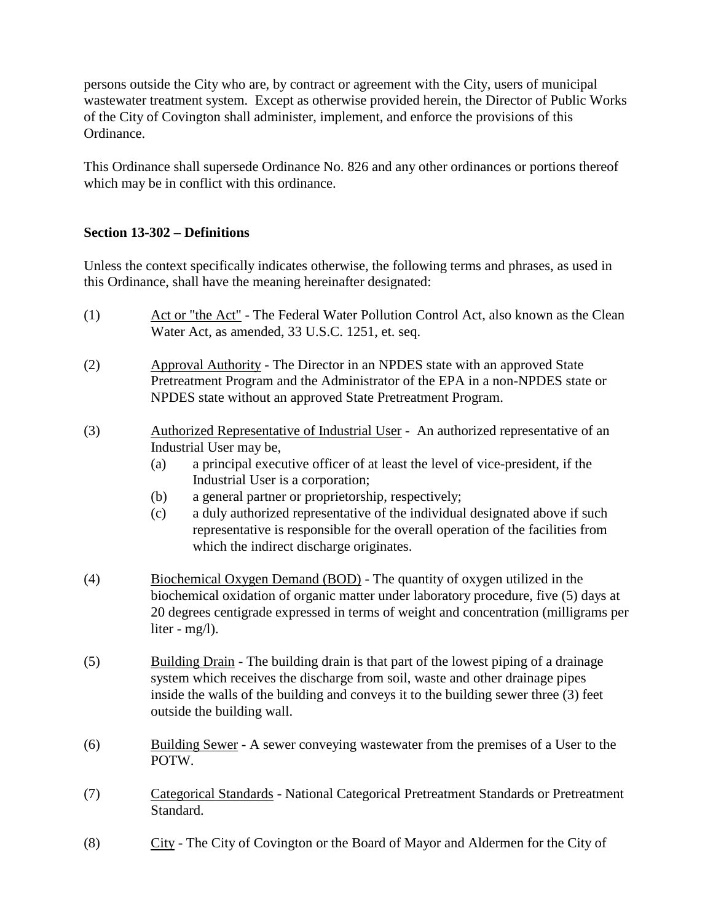persons outside the City who are, by contract or agreement with the City, users of municipal wastewater treatment system. Except as otherwise provided herein, the Director of Public Works of the City of Covington shall administer, implement, and enforce the provisions of this Ordinance.

This Ordinance shall supersede Ordinance No. 826 and any other ordinances or portions thereof which may be in conflict with this ordinance.

## **Section 13-302 – Definitions**

Unless the context specifically indicates otherwise, the following terms and phrases, as used in this Ordinance, shall have the meaning hereinafter designated:

- (1) Act or "the Act" The Federal Water Pollution Control Act, also known as the Clean Water Act, as amended, 33 U.S.C. 1251, et. seq.
- (2) Approval Authority The Director in an NPDES state with an approved State Pretreatment Program and the Administrator of the EPA in a non-NPDES state or NPDES state without an approved State Pretreatment Program.
- (3) Authorized Representative of Industrial User An authorized representative of an Industrial User may be,
	- (a) a principal executive officer of at least the level of vice-president, if the Industrial User is a corporation;
	- (b) a general partner or proprietorship, respectively;
	- (c) a duly authorized representative of the individual designated above if such representative is responsible for the overall operation of the facilities from which the indirect discharge originates.
- (4) Biochemical Oxygen Demand (BOD) The quantity of oxygen utilized in the biochemical oxidation of organic matter under laboratory procedure, five (5) days at 20 degrees centigrade expressed in terms of weight and concentration (milligrams per liter - mg/l).
- (5) Building Drain The building drain is that part of the lowest piping of a drainage system which receives the discharge from soil, waste and other drainage pipes inside the walls of the building and conveys it to the building sewer three (3) feet outside the building wall.
- (6) Building Sewer A sewer conveying wastewater from the premises of a User to the POTW.
- (7) Categorical Standards National Categorical Pretreatment Standards or Pretreatment Standard.
- (8) City The City of Covington or the Board of Mayor and Aldermen for the City of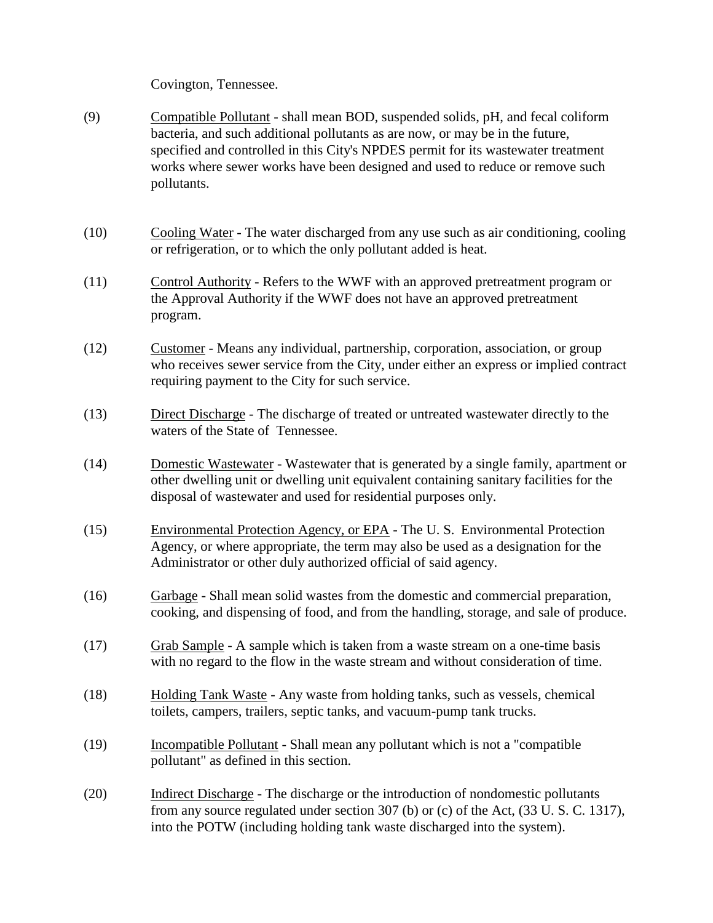Covington, Tennessee.

- (9) Compatible Pollutant shall mean BOD, suspended solids, pH, and fecal coliform bacteria, and such additional pollutants as are now, or may be in the future, specified and controlled in this City's NPDES permit for its wastewater treatment works where sewer works have been designed and used to reduce or remove such pollutants.
- (10) Cooling Water The water discharged from any use such as air conditioning, cooling or refrigeration, or to which the only pollutant added is heat.
- (11) Control Authority Refers to the WWF with an approved pretreatment program or the Approval Authority if the WWF does not have an approved pretreatment program.
- (12) Customer Means any individual, partnership, corporation, association, or group who receives sewer service from the City, under either an express or implied contract requiring payment to the City for such service.
- (13) Direct Discharge The discharge of treated or untreated wastewater directly to the waters of the State of Tennessee.
- (14) Domestic Wastewater Wastewater that is generated by a single family, apartment or other dwelling unit or dwelling unit equivalent containing sanitary facilities for the disposal of wastewater and used for residential purposes only.
- (15) Environmental Protection Agency, or EPA The U. S. Environmental Protection Agency, or where appropriate, the term may also be used as a designation for the Administrator or other duly authorized official of said agency.
- (16) Garbage Shall mean solid wastes from the domestic and commercial preparation, cooking, and dispensing of food, and from the handling, storage, and sale of produce.
- (17) Grab Sample A sample which is taken from a waste stream on a one-time basis with no regard to the flow in the waste stream and without consideration of time.
- (18) Holding Tank Waste Any waste from holding tanks, such as vessels, chemical toilets, campers, trailers, septic tanks, and vacuum-pump tank trucks.
- (19) Incompatible Pollutant Shall mean any pollutant which is not a "compatible pollutant" as defined in this section.
- (20) Indirect Discharge The discharge or the introduction of nondomestic pollutants from any source regulated under section 307 (b) or (c) of the Act, (33 U. S. C. 1317), into the POTW (including holding tank waste discharged into the system).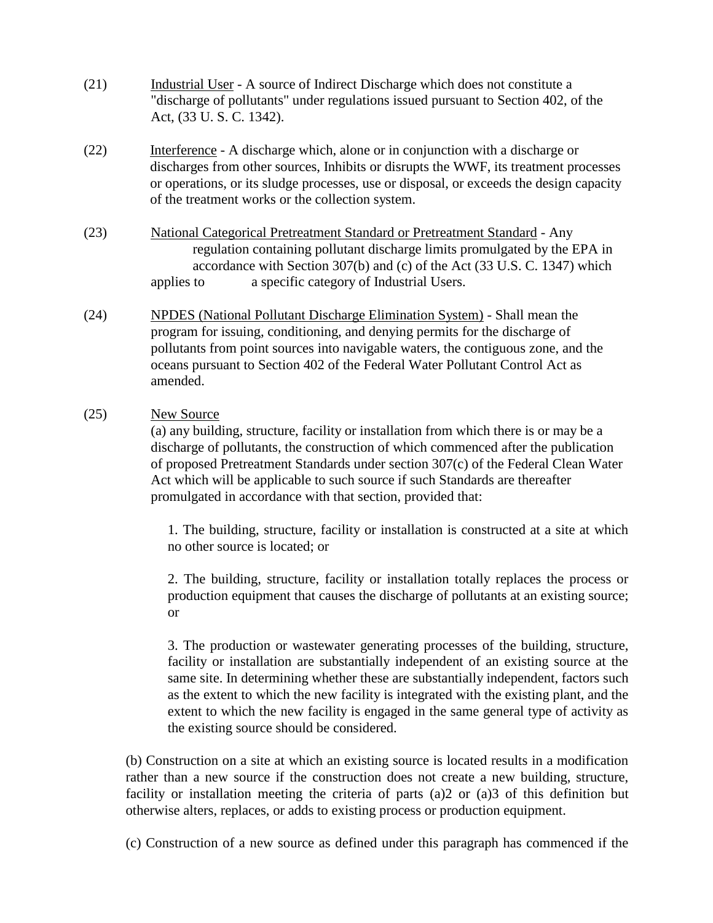- (21) Industrial User A source of Indirect Discharge which does not constitute a "discharge of pollutants" under regulations issued pursuant to Section 402, of the Act, (33 U. S. C. 1342).
- (22) Interference A discharge which, alone or in conjunction with a discharge or discharges from other sources, Inhibits or disrupts the WWF, its treatment processes or operations, or its sludge processes, use or disposal, or exceeds the design capacity of the treatment works or the collection system.
- (23) National Categorical Pretreatment Standard or Pretreatment Standard Any regulation containing pollutant discharge limits promulgated by the EPA in accordance with Section 307(b) and (c) of the Act (33 U.S. C. 1347) which applies to a specific category of Industrial Users.
- (24) NPDES (National Pollutant Discharge Elimination System) Shall mean the program for issuing, conditioning, and denying permits for the discharge of pollutants from point sources into navigable waters, the contiguous zone, and the oceans pursuant to Section 402 of the Federal Water Pollutant Control Act as amended.
- (25) New Source

(a) any building, structure, facility or installation from which there is or may be a discharge of pollutants, the construction of which commenced after the publication of proposed Pretreatment Standards under section 307(c) of the Federal Clean Water Act which will be applicable to such source if such Standards are thereafter promulgated in accordance with that section, provided that:

1. The building, structure, facility or installation is constructed at a site at which no other source is located; or

2. The building, structure, facility or installation totally replaces the process or production equipment that causes the discharge of pollutants at an existing source; or

3. The production or wastewater generating processes of the building, structure, facility or installation are substantially independent of an existing source at the same site. In determining whether these are substantially independent, factors such as the extent to which the new facility is integrated with the existing plant, and the extent to which the new facility is engaged in the same general type of activity as the existing source should be considered.

(b) Construction on a site at which an existing source is located results in a modification rather than a new source if the construction does not create a new building, structure, facility or installation meeting the criteria of parts (a)2 or (a)3 of this definition but otherwise alters, replaces, or adds to existing process or production equipment.

(c) Construction of a new source as defined under this paragraph has commenced if the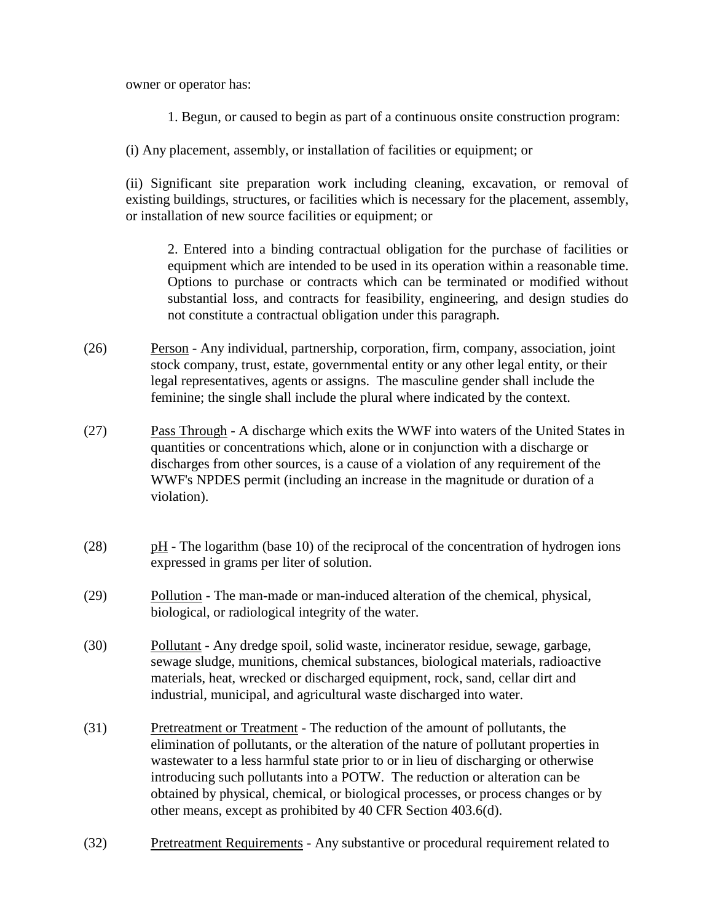owner or operator has:

- 1. Begun, or caused to begin as part of a continuous onsite construction program:
- (i) Any placement, assembly, or installation of facilities or equipment; or

(ii) Significant site preparation work including cleaning, excavation, or removal of existing buildings, structures, or facilities which is necessary for the placement, assembly, or installation of new source facilities or equipment; or

2. Entered into a binding contractual obligation for the purchase of facilities or equipment which are intended to be used in its operation within a reasonable time. Options to purchase or contracts which can be terminated or modified without substantial loss, and contracts for feasibility, engineering, and design studies do not constitute a contractual obligation under this paragraph.

- (26) Person Any individual, partnership, corporation, firm, company, association, joint stock company, trust, estate, governmental entity or any other legal entity, or their legal representatives, agents or assigns. The masculine gender shall include the feminine; the single shall include the plural where indicated by the context.
- (27) Pass Through A discharge which exits the WWF into waters of the United States in quantities or concentrations which, alone or in conjunction with a discharge or discharges from other sources, is a cause of a violation of any requirement of the WWF's NPDES permit (including an increase in the magnitude or duration of a violation).
- (28) pH The logarithm (base 10) of the reciprocal of the concentration of hydrogen ions expressed in grams per liter of solution.
- (29) Pollution The man-made or man-induced alteration of the chemical, physical, biological, or radiological integrity of the water.
- (30) Pollutant Any dredge spoil, solid waste, incinerator residue, sewage, garbage, sewage sludge, munitions, chemical substances, biological materials, radioactive materials, heat, wrecked or discharged equipment, rock, sand, cellar dirt and industrial, municipal, and agricultural waste discharged into water.
- (31) Pretreatment or Treatment The reduction of the amount of pollutants, the elimination of pollutants, or the alteration of the nature of pollutant properties in wastewater to a less harmful state prior to or in lieu of discharging or otherwise introducing such pollutants into a POTW. The reduction or alteration can be obtained by physical, chemical, or biological processes, or process changes or by other means, except as prohibited by 40 CFR Section 403.6(d).
- (32) Pretreatment Requirements Any substantive or procedural requirement related to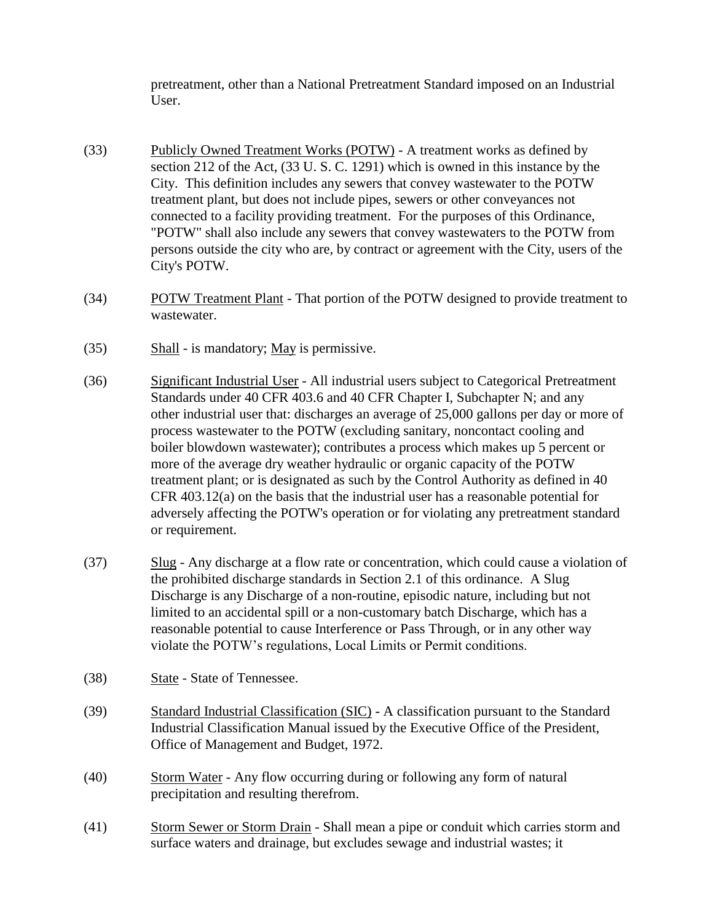pretreatment, other than a National Pretreatment Standard imposed on an Industrial User.

- (33) Publicly Owned Treatment Works (POTW) A treatment works as defined by section 212 of the Act, (33 U. S. C. 1291) which is owned in this instance by the City. This definition includes any sewers that convey wastewater to the POTW treatment plant, but does not include pipes, sewers or other conveyances not connected to a facility providing treatment. For the purposes of this Ordinance, "POTW" shall also include any sewers that convey wastewaters to the POTW from persons outside the city who are, by contract or agreement with the City, users of the City's POTW.
- (34) POTW Treatment Plant That portion of the POTW designed to provide treatment to wastewater.
- $(35)$  Shall is mandatory; May is permissive.
- (36) Significant Industrial User All industrial users subject to Categorical Pretreatment Standards under 40 CFR 403.6 and 40 CFR Chapter I, Subchapter N; and any other industrial user that: discharges an average of 25,000 gallons per day or more of process wastewater to the POTW (excluding sanitary, noncontact cooling and boiler blowdown wastewater); contributes a process which makes up 5 percent or more of the average dry weather hydraulic or organic capacity of the POTW treatment plant; or is designated as such by the Control Authority as defined in 40 CFR 403.12(a) on the basis that the industrial user has a reasonable potential for adversely affecting the POTW's operation or for violating any pretreatment standard or requirement.
- (37) Slug Any discharge at a flow rate or concentration, which could cause a violation of the prohibited discharge standards in Section 2.1 of this ordinance. A Slug Discharge is any Discharge of a non-routine, episodic nature, including but not limited to an accidental spill or a non-customary batch Discharge, which has a reasonable potential to cause Interference or Pass Through, or in any other way violate the POTW's regulations, Local Limits or Permit conditions.
- (38) State State of Tennessee.
- (39) Standard Industrial Classification (SIC) A classification pursuant to the Standard Industrial Classification Manual issued by the Executive Office of the President, Office of Management and Budget, 1972.
- (40) Storm Water Any flow occurring during or following any form of natural precipitation and resulting therefrom.
- (41) Storm Sewer or Storm Drain Shall mean a pipe or conduit which carries storm and surface waters and drainage, but excludes sewage and industrial wastes; it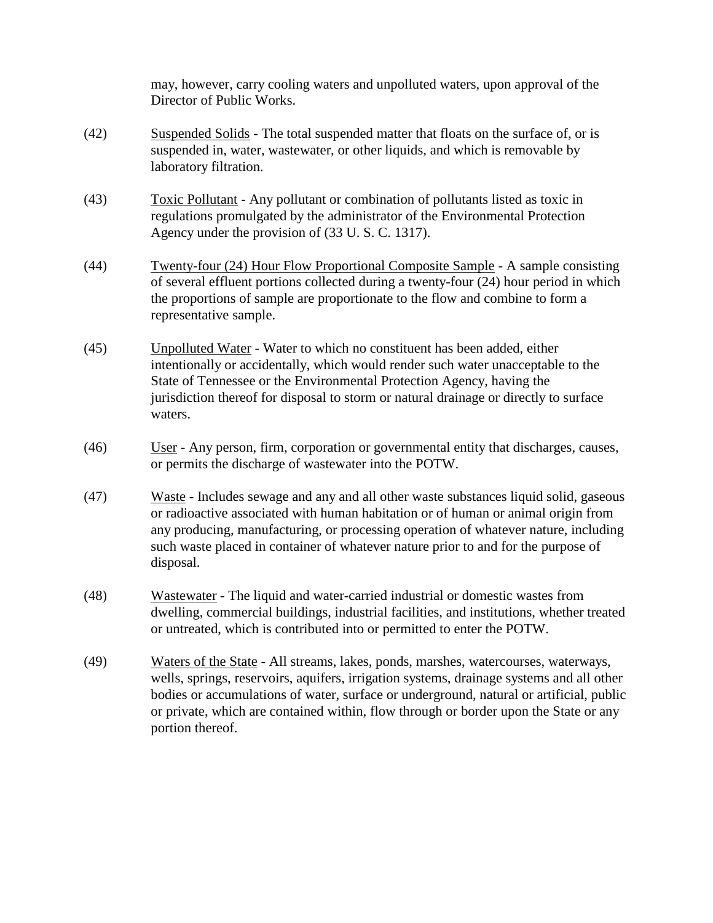may, however, carry cooling waters and unpolluted waters, upon approval of the Director of Public Works.

- (42) Suspended Solids The total suspended matter that floats on the surface of, or is suspended in, water, wastewater, or other liquids, and which is removable by laboratory filtration.
- (43) Toxic Pollutant Any pollutant or combination of pollutants listed as toxic in regulations promulgated by the administrator of the Environmental Protection Agency under the provision of (33 U. S. C. 1317).
- (44) Twenty-four (24) Hour Flow Proportional Composite Sample A sample consisting of several effluent portions collected during a twenty-four (24) hour period in which the proportions of sample are proportionate to the flow and combine to form a representative sample.
- (45) Unpolluted Water Water to which no constituent has been added, either intentionally or accidentally, which would render such water unacceptable to the State of Tennessee or the Environmental Protection Agency, having the jurisdiction thereof for disposal to storm or natural drainage or directly to surface waters.
- (46) User Any person, firm, corporation or governmental entity that discharges, causes, or permits the discharge of wastewater into the POTW.
- (47) Waste Includes sewage and any and all other waste substances liquid solid, gaseous or radioactive associated with human habitation or of human or animal origin from any producing, manufacturing, or processing operation of whatever nature, including such waste placed in container of whatever nature prior to and for the purpose of disposal.
- (48) Wastewater The liquid and water-carried industrial or domestic wastes from dwelling, commercial buildings, industrial facilities, and institutions, whether treated or untreated, which is contributed into or permitted to enter the POTW.
- (49) Waters of the State All streams, lakes, ponds, marshes, watercourses, waterways, wells, springs, reservoirs, aquifers, irrigation systems, drainage systems and all other bodies or accumulations of water, surface or underground, natural or artificial, public or private, which are contained within, flow through or border upon the State or any portion thereof.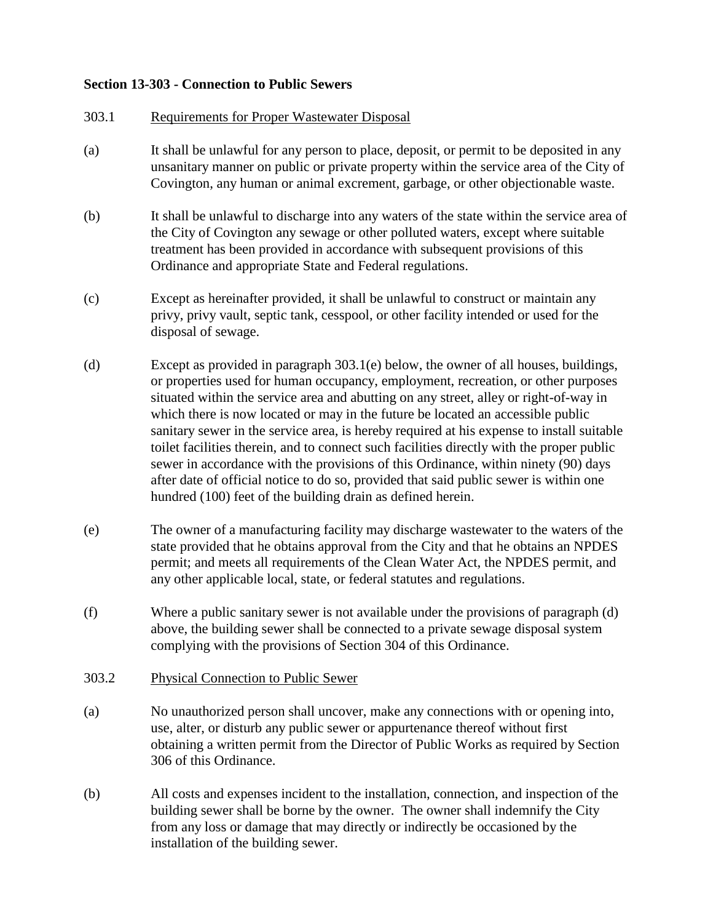## **Section 13-303 - Connection to Public Sewers**

## 303.1 Requirements for Proper Wastewater Disposal

- (a) It shall be unlawful for any person to place, deposit, or permit to be deposited in any unsanitary manner on public or private property within the service area of the City of Covington, any human or animal excrement, garbage, or other objectionable waste.
- (b) It shall be unlawful to discharge into any waters of the state within the service area of the City of Covington any sewage or other polluted waters, except where suitable treatment has been provided in accordance with subsequent provisions of this Ordinance and appropriate State and Federal regulations.
- (c) Except as hereinafter provided, it shall be unlawful to construct or maintain any privy, privy vault, septic tank, cesspool, or other facility intended or used for the disposal of sewage.
- (d) Except as provided in paragraph 303.1(e) below, the owner of all houses, buildings, or properties used for human occupancy, employment, recreation, or other purposes situated within the service area and abutting on any street, alley or right-of-way in which there is now located or may in the future be located an accessible public sanitary sewer in the service area, is hereby required at his expense to install suitable toilet facilities therein, and to connect such facilities directly with the proper public sewer in accordance with the provisions of this Ordinance, within ninety (90) days after date of official notice to do so, provided that said public sewer is within one hundred (100) feet of the building drain as defined herein.
- (e) The owner of a manufacturing facility may discharge wastewater to the waters of the state provided that he obtains approval from the City and that he obtains an NPDES permit; and meets all requirements of the Clean Water Act, the NPDES permit, and any other applicable local, state, or federal statutes and regulations.
- (f) Where a public sanitary sewer is not available under the provisions of paragraph (d) above, the building sewer shall be connected to a private sewage disposal system complying with the provisions of Section 304 of this Ordinance.

## 303.2 Physical Connection to Public Sewer

- (a) No unauthorized person shall uncover, make any connections with or opening into, use, alter, or disturb any public sewer or appurtenance thereof without first obtaining a written permit from the Director of Public Works as required by Section 306 of this Ordinance.
- (b) All costs and expenses incident to the installation, connection, and inspection of the building sewer shall be borne by the owner. The owner shall indemnify the City from any loss or damage that may directly or indirectly be occasioned by the installation of the building sewer.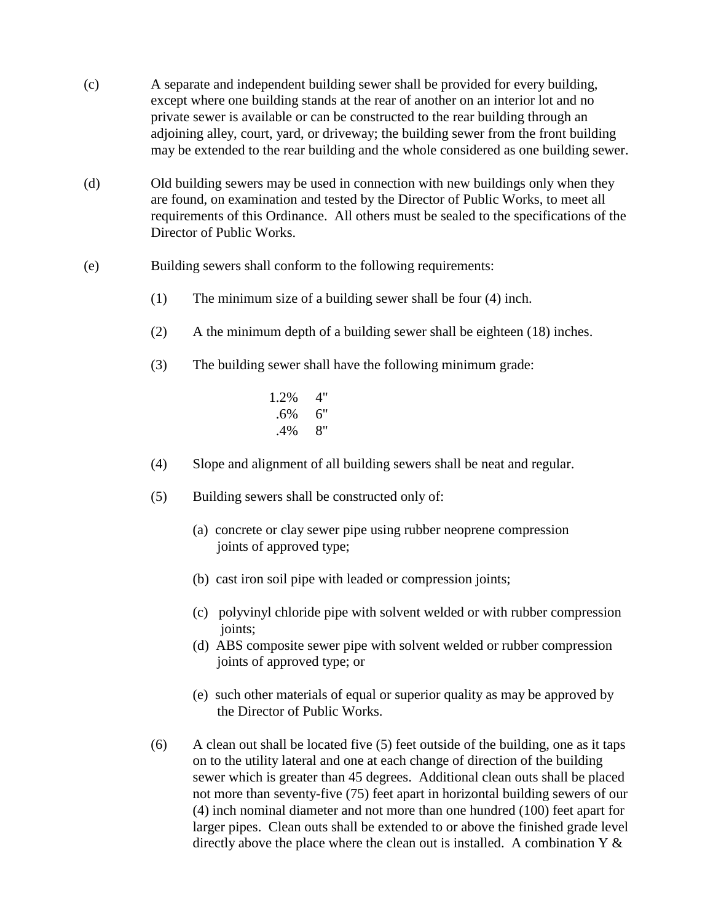- (c) A separate and independent building sewer shall be provided for every building, except where one building stands at the rear of another on an interior lot and no private sewer is available or can be constructed to the rear building through an adjoining alley, court, yard, or driveway; the building sewer from the front building may be extended to the rear building and the whole considered as one building sewer.
- (d) Old building sewers may be used in connection with new buildings only when they are found, on examination and tested by the Director of Public Works, to meet all requirements of this Ordinance. All others must be sealed to the specifications of the Director of Public Works.
- (e) Building sewers shall conform to the following requirements:
	- (1) The minimum size of a building sewer shall be four (4) inch.
	- (2) A the minimum depth of a building sewer shall be eighteen (18) inches.
	- (3) The building sewer shall have the following minimum grade:
		- 1.2% 4" .6% 6" .4% 8"
	- (4) Slope and alignment of all building sewers shall be neat and regular.
	- (5) Building sewers shall be constructed only of:
		- (a) concrete or clay sewer pipe using rubber neoprene compression joints of approved type;
		- (b) cast iron soil pipe with leaded or compression joints;
		- (c) polyvinyl chloride pipe with solvent welded or with rubber compression joints;
		- (d) ABS composite sewer pipe with solvent welded or rubber compression joints of approved type; or
		- (e) such other materials of equal or superior quality as may be approved by the Director of Public Works.
	- $(6)$  A clean out shall be located five  $(5)$  feet outside of the building, one as it taps on to the utility lateral and one at each change of direction of the building sewer which is greater than 45 degrees. Additional clean outs shall be placed not more than seventy-five (75) feet apart in horizontal building sewers of our (4) inch nominal diameter and not more than one hundred (100) feet apart for larger pipes. Clean outs shall be extended to or above the finished grade level directly above the place where the clean out is installed. A combination  $Y \&$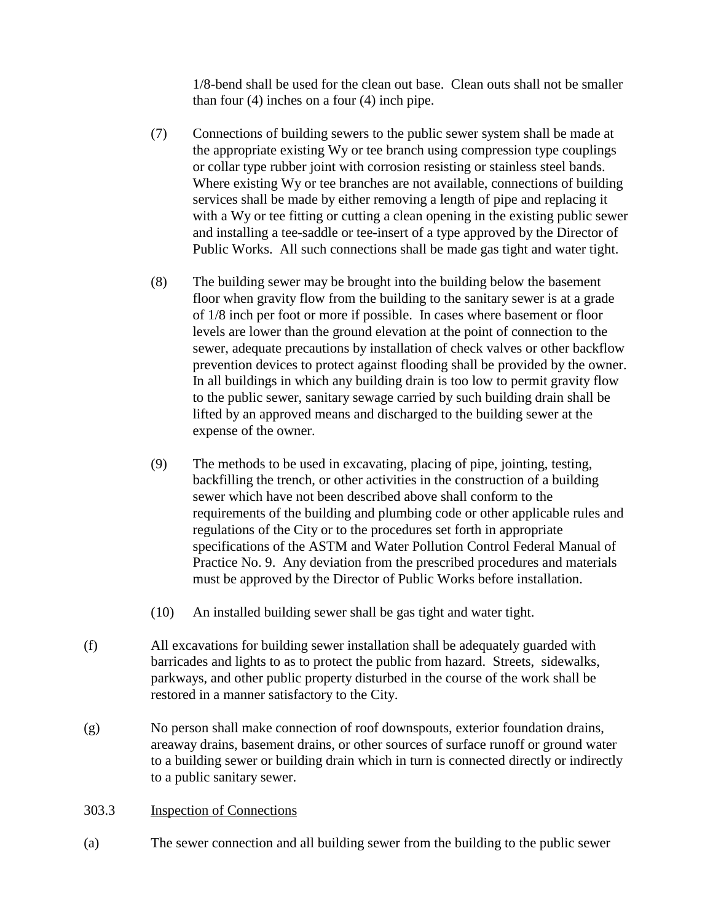1/8-bend shall be used for the clean out base. Clean outs shall not be smaller than four (4) inches on a four (4) inch pipe.

- (7) Connections of building sewers to the public sewer system shall be made at the appropriate existing Wy or tee branch using compression type couplings or collar type rubber joint with corrosion resisting or stainless steel bands. Where existing Wy or tee branches are not available, connections of building services shall be made by either removing a length of pipe and replacing it with a Wy or tee fitting or cutting a clean opening in the existing public sewer and installing a tee-saddle or tee-insert of a type approved by the Director of Public Works. All such connections shall be made gas tight and water tight.
- (8) The building sewer may be brought into the building below the basement floor when gravity flow from the building to the sanitary sewer is at a grade of 1/8 inch per foot or more if possible. In cases where basement or floor levels are lower than the ground elevation at the point of connection to the sewer, adequate precautions by installation of check valves or other backflow prevention devices to protect against flooding shall be provided by the owner. In all buildings in which any building drain is too low to permit gravity flow to the public sewer, sanitary sewage carried by such building drain shall be lifted by an approved means and discharged to the building sewer at the expense of the owner.
- (9) The methods to be used in excavating, placing of pipe, jointing, testing, backfilling the trench, or other activities in the construction of a building sewer which have not been described above shall conform to the requirements of the building and plumbing code or other applicable rules and regulations of the City or to the procedures set forth in appropriate specifications of the ASTM and Water Pollution Control Federal Manual of Practice No. 9. Any deviation from the prescribed procedures and materials must be approved by the Director of Public Works before installation.
- (10) An installed building sewer shall be gas tight and water tight.
- (f) All excavations for building sewer installation shall be adequately guarded with barricades and lights to as to protect the public from hazard. Streets, sidewalks, parkways, and other public property disturbed in the course of the work shall be restored in a manner satisfactory to the City.
- (g) No person shall make connection of roof downspouts, exterior foundation drains, areaway drains, basement drains, or other sources of surface runoff or ground water to a building sewer or building drain which in turn is connected directly or indirectly to a public sanitary sewer.
- 303.3 Inspection of Connections
- (a) The sewer connection and all building sewer from the building to the public sewer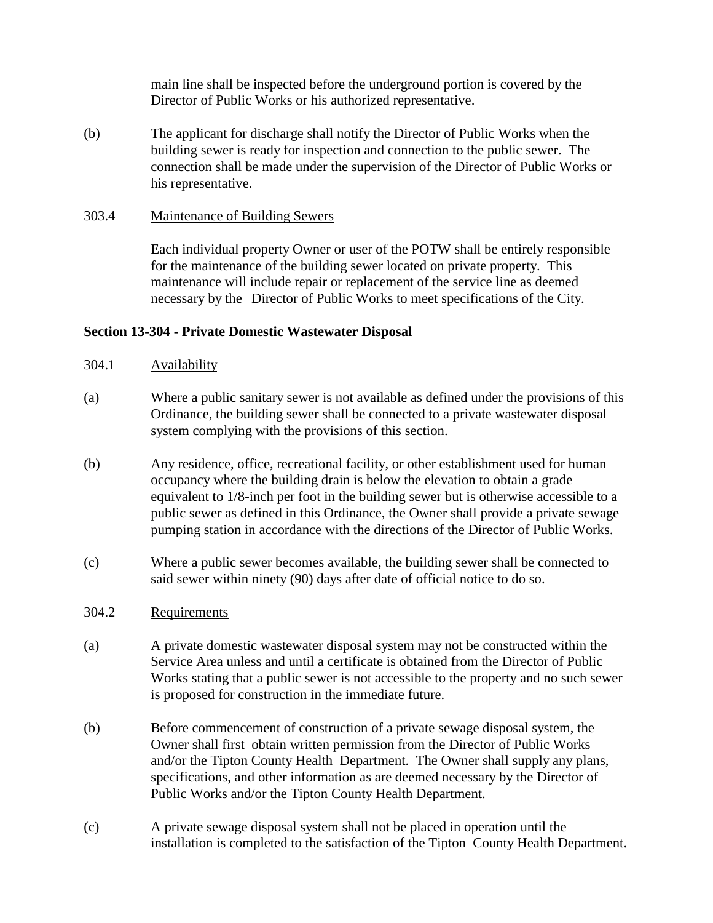main line shall be inspected before the underground portion is covered by the Director of Public Works or his authorized representative.

(b) The applicant for discharge shall notify the Director of Public Works when the building sewer is ready for inspection and connection to the public sewer. The connection shall be made under the supervision of the Director of Public Works or his representative.

### 303.4 Maintenance of Building Sewers

Each individual property Owner or user of the POTW shall be entirely responsible for the maintenance of the building sewer located on private property. This maintenance will include repair or replacement of the service line as deemed necessary by the Director of Public Works to meet specifications of the City.

### **Section 13-304 - Private Domestic Wastewater Disposal**

- 304.1 Availability
- (a) Where a public sanitary sewer is not available as defined under the provisions of this Ordinance, the building sewer shall be connected to a private wastewater disposal system complying with the provisions of this section.
- (b) Any residence, office, recreational facility, or other establishment used for human occupancy where the building drain is below the elevation to obtain a grade equivalent to 1/8-inch per foot in the building sewer but is otherwise accessible to a public sewer as defined in this Ordinance, the Owner shall provide a private sewage pumping station in accordance with the directions of the Director of Public Works.
- (c) Where a public sewer becomes available, the building sewer shall be connected to said sewer within ninety (90) days after date of official notice to do so.

## 304.2 Requirements

- (a) A private domestic wastewater disposal system may not be constructed within the Service Area unless and until a certificate is obtained from the Director of Public Works stating that a public sewer is not accessible to the property and no such sewer is proposed for construction in the immediate future.
- (b) Before commencement of construction of a private sewage disposal system, the Owner shall first obtain written permission from the Director of Public Works and/or the Tipton County Health Department. The Owner shall supply any plans, specifications, and other information as are deemed necessary by the Director of Public Works and/or the Tipton County Health Department.
- (c) A private sewage disposal system shall not be placed in operation until the installation is completed to the satisfaction of the Tipton County Health Department.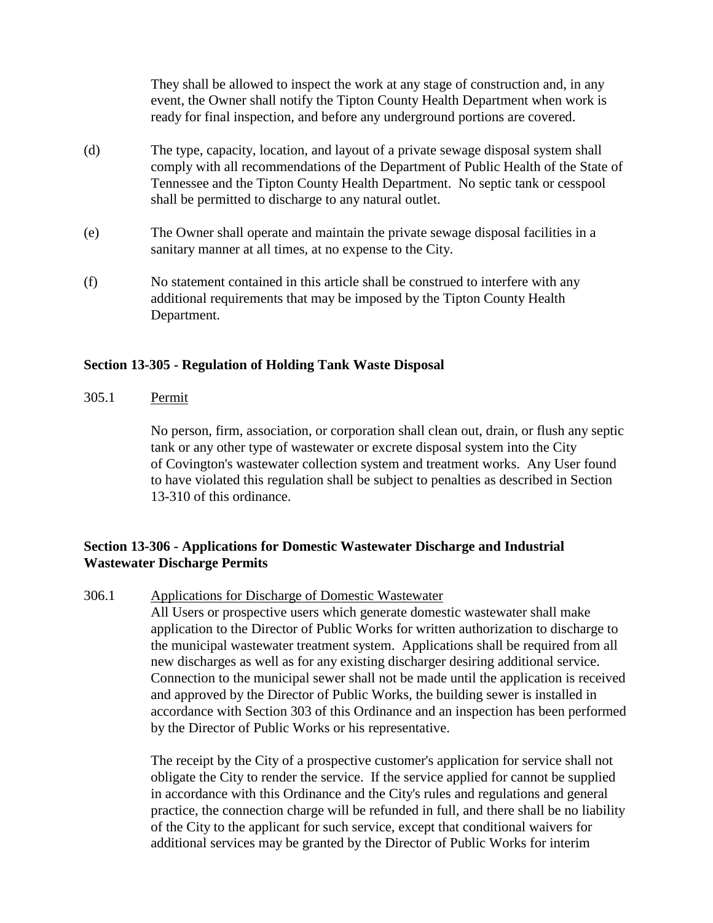They shall be allowed to inspect the work at any stage of construction and, in any event, the Owner shall notify the Tipton County Health Department when work is ready for final inspection, and before any underground portions are covered.

- (d) The type, capacity, location, and layout of a private sewage disposal system shall comply with all recommendations of the Department of Public Health of the State of Tennessee and the Tipton County Health Department. No septic tank or cesspool shall be permitted to discharge to any natural outlet.
- (e) The Owner shall operate and maintain the private sewage disposal facilities in a sanitary manner at all times, at no expense to the City.
- (f) No statement contained in this article shall be construed to interfere with any additional requirements that may be imposed by the Tipton County Health Department.

### **Section 13-305 - Regulation of Holding Tank Waste Disposal**

305.1 Permit

No person, firm, association, or corporation shall clean out, drain, or flush any septic tank or any other type of wastewater or excrete disposal system into the City of Covington's wastewater collection system and treatment works. Any User found to have violated this regulation shall be subject to penalties as described in Section 13-310 of this ordinance.

## **Section 13-306 - Applications for Domestic Wastewater Discharge and Industrial Wastewater Discharge Permits**

306.1 Applications for Discharge of Domestic Wastewater

All Users or prospective users which generate domestic wastewater shall make application to the Director of Public Works for written authorization to discharge to the municipal wastewater treatment system. Applications shall be required from all new discharges as well as for any existing discharger desiring additional service. Connection to the municipal sewer shall not be made until the application is received and approved by the Director of Public Works, the building sewer is installed in accordance with Section 303 of this Ordinance and an inspection has been performed by the Director of Public Works or his representative.

The receipt by the City of a prospective customer's application for service shall not obligate the City to render the service. If the service applied for cannot be supplied in accordance with this Ordinance and the City's rules and regulations and general practice, the connection charge will be refunded in full, and there shall be no liability of the City to the applicant for such service, except that conditional waivers for additional services may be granted by the Director of Public Works for interim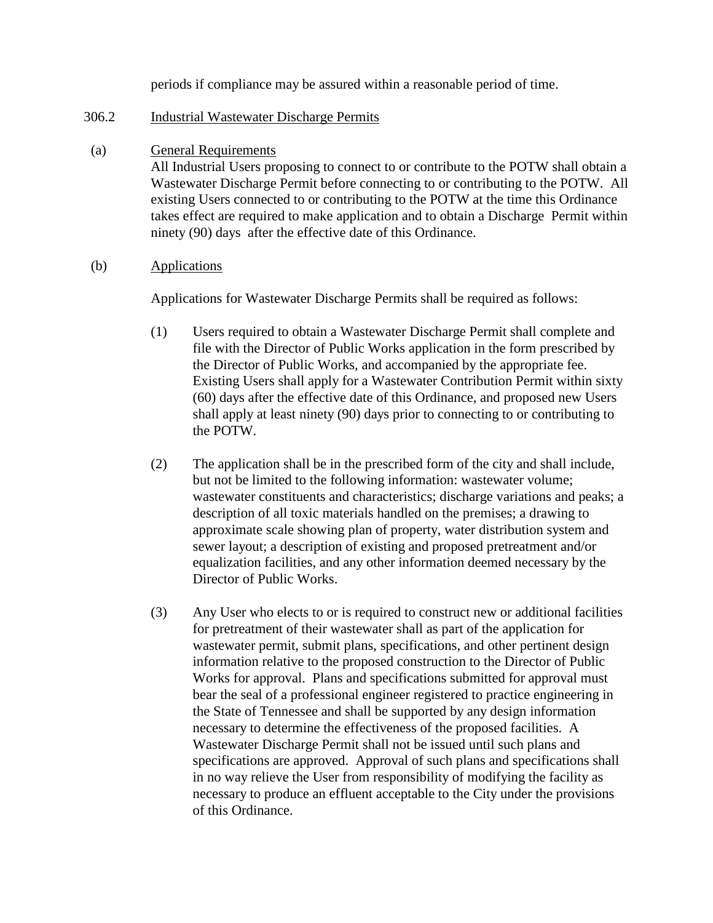periods if compliance may be assured within a reasonable period of time.

## 306.2 Industrial Wastewater Discharge Permits

(a) General Requirements

All Industrial Users proposing to connect to or contribute to the POTW shall obtain a Wastewater Discharge Permit before connecting to or contributing to the POTW. All existing Users connected to or contributing to the POTW at the time this Ordinance takes effect are required to make application and to obtain a Discharge Permit within ninety (90) days after the effective date of this Ordinance.

(b) Applications

Applications for Wastewater Discharge Permits shall be required as follows:

- (1) Users required to obtain a Wastewater Discharge Permit shall complete and file with the Director of Public Works application in the form prescribed by the Director of Public Works, and accompanied by the appropriate fee. Existing Users shall apply for a Wastewater Contribution Permit within sixty (60) days after the effective date of this Ordinance, and proposed new Users shall apply at least ninety (90) days prior to connecting to or contributing to the POTW.
- (2) The application shall be in the prescribed form of the city and shall include, but not be limited to the following information: wastewater volume; wastewater constituents and characteristics; discharge variations and peaks; a description of all toxic materials handled on the premises; a drawing to approximate scale showing plan of property, water distribution system and sewer layout; a description of existing and proposed pretreatment and/or equalization facilities, and any other information deemed necessary by the Director of Public Works.
- (3) Any User who elects to or is required to construct new or additional facilities for pretreatment of their wastewater shall as part of the application for wastewater permit, submit plans, specifications, and other pertinent design information relative to the proposed construction to the Director of Public Works for approval. Plans and specifications submitted for approval must bear the seal of a professional engineer registered to practice engineering in the State of Tennessee and shall be supported by any design information necessary to determine the effectiveness of the proposed facilities. A Wastewater Discharge Permit shall not be issued until such plans and specifications are approved. Approval of such plans and specifications shall in no way relieve the User from responsibility of modifying the facility as necessary to produce an effluent acceptable to the City under the provisions of this Ordinance.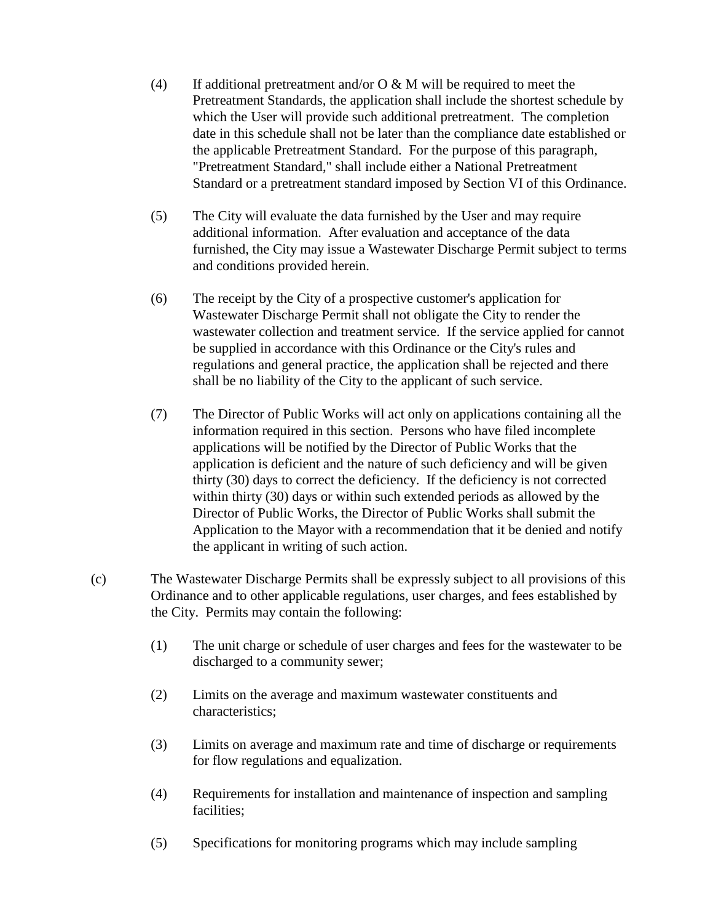- (4) If additional pretreatment and/or  $O & M$  will be required to meet the Pretreatment Standards, the application shall include the shortest schedule by which the User will provide such additional pretreatment. The completion date in this schedule shall not be later than the compliance date established or the applicable Pretreatment Standard. For the purpose of this paragraph, "Pretreatment Standard," shall include either a National Pretreatment Standard or a pretreatment standard imposed by Section VI of this Ordinance.
- (5) The City will evaluate the data furnished by the User and may require additional information. After evaluation and acceptance of the data furnished, the City may issue a Wastewater Discharge Permit subject to terms and conditions provided herein.
- (6) The receipt by the City of a prospective customer's application for Wastewater Discharge Permit shall not obligate the City to render the wastewater collection and treatment service. If the service applied for cannot be supplied in accordance with this Ordinance or the City's rules and regulations and general practice, the application shall be rejected and there shall be no liability of the City to the applicant of such service.
- (7) The Director of Public Works will act only on applications containing all the information required in this section. Persons who have filed incomplete applications will be notified by the Director of Public Works that the application is deficient and the nature of such deficiency and will be given thirty (30) days to correct the deficiency. If the deficiency is not corrected within thirty (30) days or within such extended periods as allowed by the Director of Public Works, the Director of Public Works shall submit the Application to the Mayor with a recommendation that it be denied and notify the applicant in writing of such action.
- (c) The Wastewater Discharge Permits shall be expressly subject to all provisions of this Ordinance and to other applicable regulations, user charges, and fees established by the City. Permits may contain the following:
	- (1) The unit charge or schedule of user charges and fees for the wastewater to be discharged to a community sewer;
	- (2) Limits on the average and maximum wastewater constituents and characteristics;
	- (3) Limits on average and maximum rate and time of discharge or requirements for flow regulations and equalization.
	- (4) Requirements for installation and maintenance of inspection and sampling facilities:
	- (5) Specifications for monitoring programs which may include sampling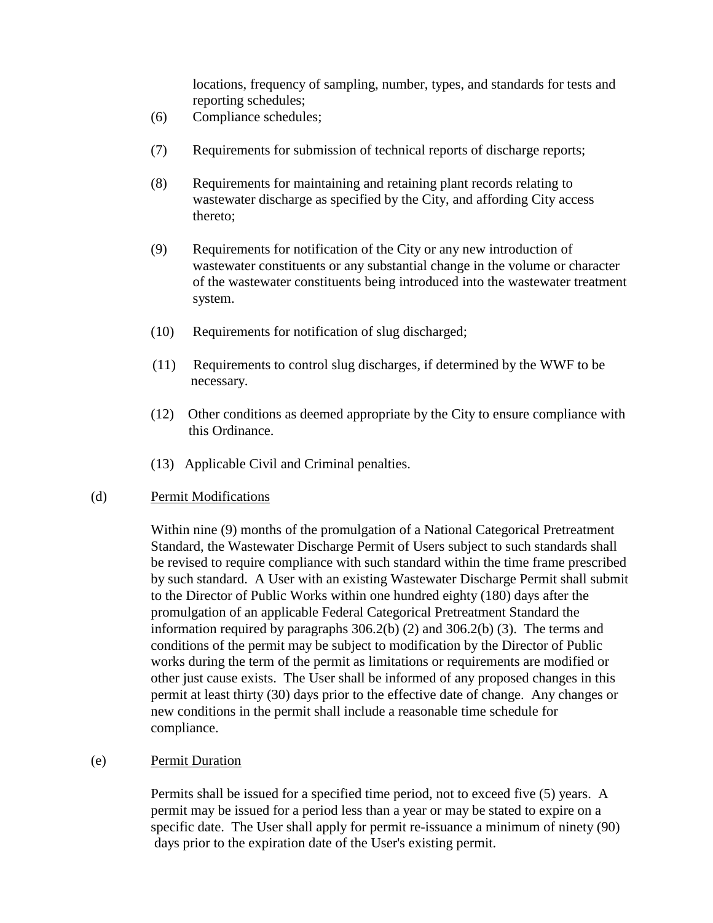locations, frequency of sampling, number, types, and standards for tests and reporting schedules;

- (6) Compliance schedules;
- (7) Requirements for submission of technical reports of discharge reports;
- (8) Requirements for maintaining and retaining plant records relating to wastewater discharge as specified by the City, and affording City access thereto;
- (9) Requirements for notification of the City or any new introduction of wastewater constituents or any substantial change in the volume or character of the wastewater constituents being introduced into the wastewater treatment system.
- (10) Requirements for notification of slug discharged;
- (11) Requirements to control slug discharges, if determined by the WWF to be necessary.
- (12) Other conditions as deemed appropriate by the City to ensure compliance with this Ordinance.
- (13) Applicable Civil and Criminal penalties.

#### (d) Permit Modifications

Within nine (9) months of the promulgation of a National Categorical Pretreatment Standard, the Wastewater Discharge Permit of Users subject to such standards shall be revised to require compliance with such standard within the time frame prescribed by such standard. A User with an existing Wastewater Discharge Permit shall submit to the Director of Public Works within one hundred eighty (180) days after the promulgation of an applicable Federal Categorical Pretreatment Standard the information required by paragraphs 306.2(b) (2) and 306.2(b) (3). The terms and conditions of the permit may be subject to modification by the Director of Public works during the term of the permit as limitations or requirements are modified or other just cause exists. The User shall be informed of any proposed changes in this permit at least thirty (30) days prior to the effective date of change. Any changes or new conditions in the permit shall include a reasonable time schedule for compliance.

#### (e) Permit Duration

Permits shall be issued for a specified time period, not to exceed five (5) years. A permit may be issued for a period less than a year or may be stated to expire on a specific date. The User shall apply for permit re-issuance a minimum of ninety (90) days prior to the expiration date of the User's existing permit.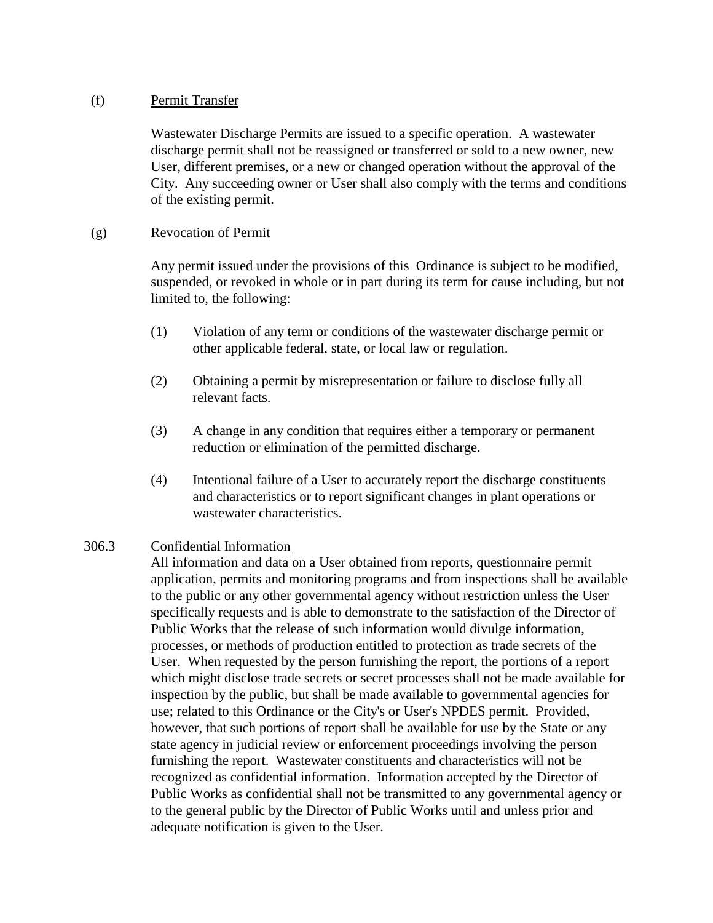## (f) Permit Transfer

Wastewater Discharge Permits are issued to a specific operation. A wastewater discharge permit shall not be reassigned or transferred or sold to a new owner, new User, different premises, or a new or changed operation without the approval of the City. Any succeeding owner or User shall also comply with the terms and conditions of the existing permit.

## (g) Revocation of Permit

Any permit issued under the provisions of this Ordinance is subject to be modified, suspended, or revoked in whole or in part during its term for cause including, but not limited to, the following:

- (1) Violation of any term or conditions of the wastewater discharge permit or other applicable federal, state, or local law or regulation.
- (2) Obtaining a permit by misrepresentation or failure to disclose fully all relevant facts.
- (3) A change in any condition that requires either a temporary or permanent reduction or elimination of the permitted discharge.
- (4) Intentional failure of a User to accurately report the discharge constituents and characteristics or to report significant changes in plant operations or wastewater characteristics.

# 306.3 Confidential Information

All information and data on a User obtained from reports, questionnaire permit application, permits and monitoring programs and from inspections shall be available to the public or any other governmental agency without restriction unless the User specifically requests and is able to demonstrate to the satisfaction of the Director of Public Works that the release of such information would divulge information, processes, or methods of production entitled to protection as trade secrets of the User. When requested by the person furnishing the report, the portions of a report which might disclose trade secrets or secret processes shall not be made available for inspection by the public, but shall be made available to governmental agencies for use; related to this Ordinance or the City's or User's NPDES permit. Provided, however, that such portions of report shall be available for use by the State or any state agency in judicial review or enforcement proceedings involving the person furnishing the report. Wastewater constituents and characteristics will not be recognized as confidential information. Information accepted by the Director of Public Works as confidential shall not be transmitted to any governmental agency or to the general public by the Director of Public Works until and unless prior and adequate notification is given to the User.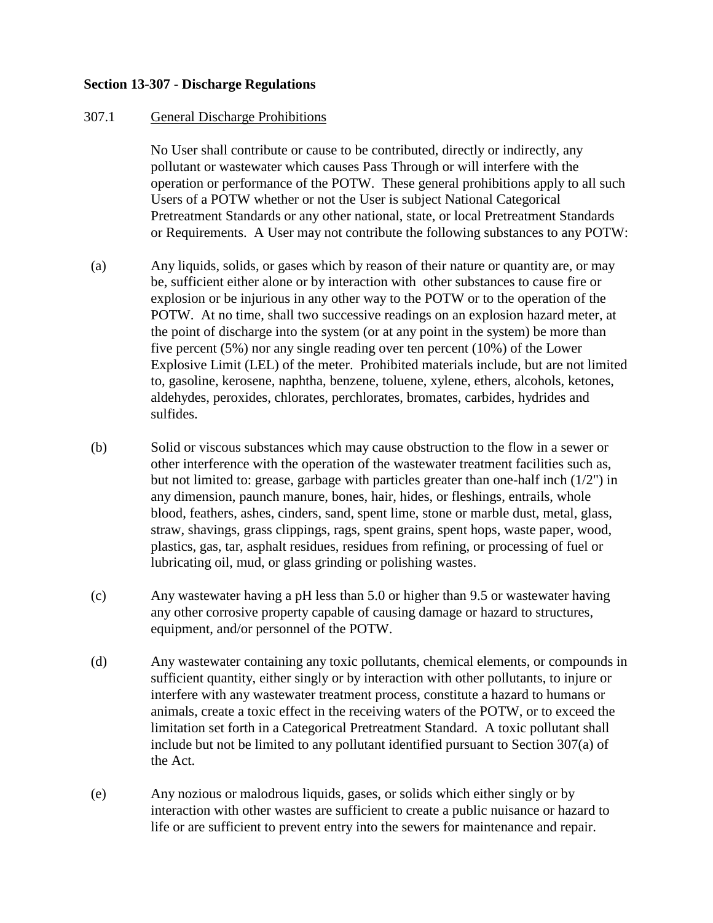## **Section 13-307 - Discharge Regulations**

### 307.1 General Discharge Prohibitions

No User shall contribute or cause to be contributed, directly or indirectly, any pollutant or wastewater which causes Pass Through or will interfere with the operation or performance of the POTW. These general prohibitions apply to all such Users of a POTW whether or not the User is subject National Categorical Pretreatment Standards or any other national, state, or local Pretreatment Standards or Requirements. A User may not contribute the following substances to any POTW:

- (a) Any liquids, solids, or gases which by reason of their nature or quantity are, or may be, sufficient either alone or by interaction with other substances to cause fire or explosion or be injurious in any other way to the POTW or to the operation of the POTW. At no time, shall two successive readings on an explosion hazard meter, at the point of discharge into the system (or at any point in the system) be more than five percent (5%) nor any single reading over ten percent (10%) of the Lower Explosive Limit (LEL) of the meter. Prohibited materials include, but are not limited to, gasoline, kerosene, naphtha, benzene, toluene, xylene, ethers, alcohols, ketones, aldehydes, peroxides, chlorates, perchlorates, bromates, carbides, hydrides and sulfides.
- (b) Solid or viscous substances which may cause obstruction to the flow in a sewer or other interference with the operation of the wastewater treatment facilities such as, but not limited to: grease, garbage with particles greater than one-half inch (1/2") in any dimension, paunch manure, bones, hair, hides, or fleshings, entrails, whole blood, feathers, ashes, cinders, sand, spent lime, stone or marble dust, metal, glass, straw, shavings, grass clippings, rags, spent grains, spent hops, waste paper, wood, plastics, gas, tar, asphalt residues, residues from refining, or processing of fuel or lubricating oil, mud, or glass grinding or polishing wastes.
- (c) Any wastewater having a pH less than 5.0 or higher than 9.5 or wastewater having any other corrosive property capable of causing damage or hazard to structures, equipment, and/or personnel of the POTW.
- (d) Any wastewater containing any toxic pollutants, chemical elements, or compounds in sufficient quantity, either singly or by interaction with other pollutants, to injure or interfere with any wastewater treatment process, constitute a hazard to humans or animals, create a toxic effect in the receiving waters of the POTW, or to exceed the limitation set forth in a Categorical Pretreatment Standard. A toxic pollutant shall include but not be limited to any pollutant identified pursuant to Section 307(a) of the Act.
- (e) Any nozious or malodrous liquids, gases, or solids which either singly or by interaction with other wastes are sufficient to create a public nuisance or hazard to life or are sufficient to prevent entry into the sewers for maintenance and repair.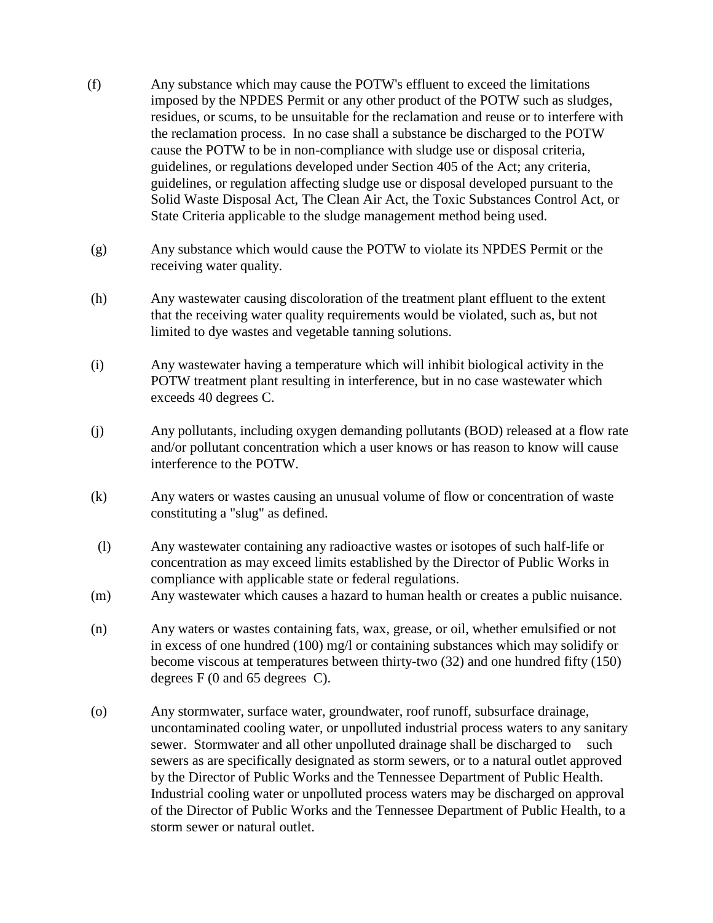- (f) Any substance which may cause the POTW's effluent to exceed the limitations imposed by the NPDES Permit or any other product of the POTW such as sludges, residues, or scums, to be unsuitable for the reclamation and reuse or to interfere with the reclamation process. In no case shall a substance be discharged to the POTW cause the POTW to be in non-compliance with sludge use or disposal criteria, guidelines, or regulations developed under Section 405 of the Act; any criteria, guidelines, or regulation affecting sludge use or disposal developed pursuant to the Solid Waste Disposal Act, The Clean Air Act, the Toxic Substances Control Act, or State Criteria applicable to the sludge management method being used.
- (g) Any substance which would cause the POTW to violate its NPDES Permit or the receiving water quality.
- (h) Any wastewater causing discoloration of the treatment plant effluent to the extent that the receiving water quality requirements would be violated, such as, but not limited to dye wastes and vegetable tanning solutions.
- (i) Any wastewater having a temperature which will inhibit biological activity in the POTW treatment plant resulting in interference, but in no case wastewater which exceeds 40 degrees C.
- (j) Any pollutants, including oxygen demanding pollutants (BOD) released at a flow rate and/or pollutant concentration which a user knows or has reason to know will cause interference to the POTW.
- (k) Any waters or wastes causing an unusual volume of flow or concentration of waste constituting a "slug" as defined.
- (l) Any wastewater containing any radioactive wastes or isotopes of such half-life or concentration as may exceed limits established by the Director of Public Works in compliance with applicable state or federal regulations.
- (m) Any wastewater which causes a hazard to human health or creates a public nuisance.
- (n) Any waters or wastes containing fats, wax, grease, or oil, whether emulsified or not in excess of one hundred (100) mg/l or containing substances which may solidify or become viscous at temperatures between thirty-two (32) and one hundred fifty (150) degrees F (0 and 65 degrees C).
- (o) Any stormwater, surface water, groundwater, roof runoff, subsurface drainage, uncontaminated cooling water, or unpolluted industrial process waters to any sanitary sewer. Stormwater and all other unpolluted drainage shall be discharged to such sewers as are specifically designated as storm sewers, or to a natural outlet approved by the Director of Public Works and the Tennessee Department of Public Health. Industrial cooling water or unpolluted process waters may be discharged on approval of the Director of Public Works and the Tennessee Department of Public Health, to a storm sewer or natural outlet.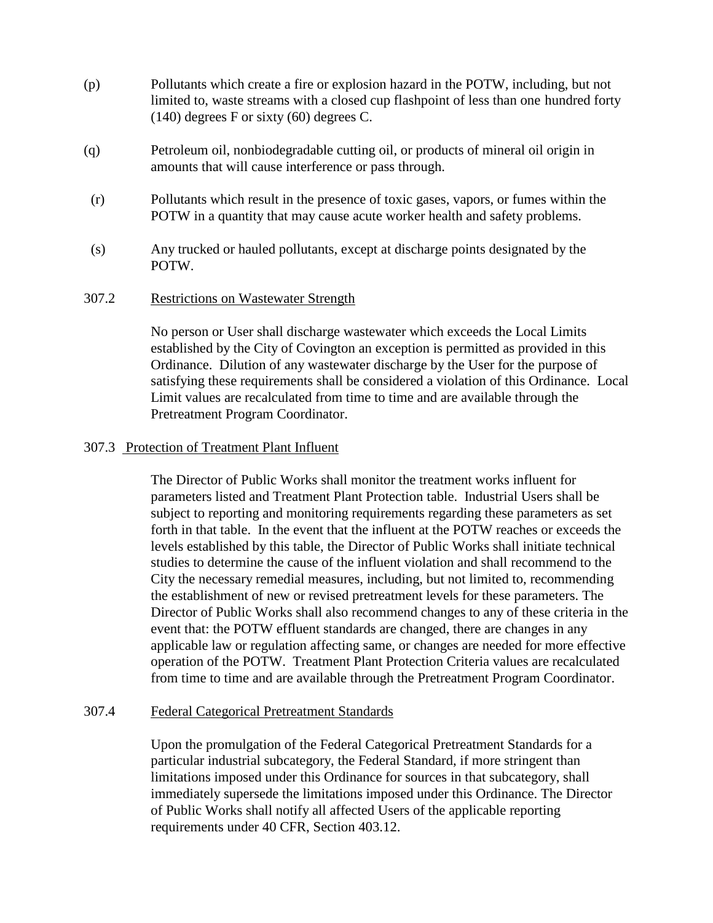- (p) Pollutants which create a fire or explosion hazard in the POTW, including, but not limited to, waste streams with a closed cup flashpoint of less than one hundred forty (140) degrees F or sixty (60) degrees C.
- (q) Petroleum oil, nonbiodegradable cutting oil, or products of mineral oil origin in amounts that will cause interference or pass through.
- (r) Pollutants which result in the presence of toxic gases, vapors, or fumes within the POTW in a quantity that may cause acute worker health and safety problems.
- (s) Any trucked or hauled pollutants, except at discharge points designated by the POTW.

### 307.2 Restrictions on Wastewater Strength

No person or User shall discharge wastewater which exceeds the Local Limits established by the City of Covington an exception is permitted as provided in this Ordinance. Dilution of any wastewater discharge by the User for the purpose of satisfying these requirements shall be considered a violation of this Ordinance. Local Limit values are recalculated from time to time and are available through the Pretreatment Program Coordinator.

#### 307.3 Protection of Treatment Plant Influent

The Director of Public Works shall monitor the treatment works influent for parameters listed and Treatment Plant Protection table. Industrial Users shall be subject to reporting and monitoring requirements regarding these parameters as set forth in that table. In the event that the influent at the POTW reaches or exceeds the levels established by this table, the Director of Public Works shall initiate technical studies to determine the cause of the influent violation and shall recommend to the City the necessary remedial measures, including, but not limited to, recommending the establishment of new or revised pretreatment levels for these parameters. The Director of Public Works shall also recommend changes to any of these criteria in the event that: the POTW effluent standards are changed, there are changes in any applicable law or regulation affecting same, or changes are needed for more effective operation of the POTW. Treatment Plant Protection Criteria values are recalculated from time to time and are available through the Pretreatment Program Coordinator.

### 307.4 Federal Categorical Pretreatment Standards

Upon the promulgation of the Federal Categorical Pretreatment Standards for a particular industrial subcategory, the Federal Standard, if more stringent than limitations imposed under this Ordinance for sources in that subcategory, shall immediately supersede the limitations imposed under this Ordinance. The Director of Public Works shall notify all affected Users of the applicable reporting requirements under 40 CFR, Section 403.12.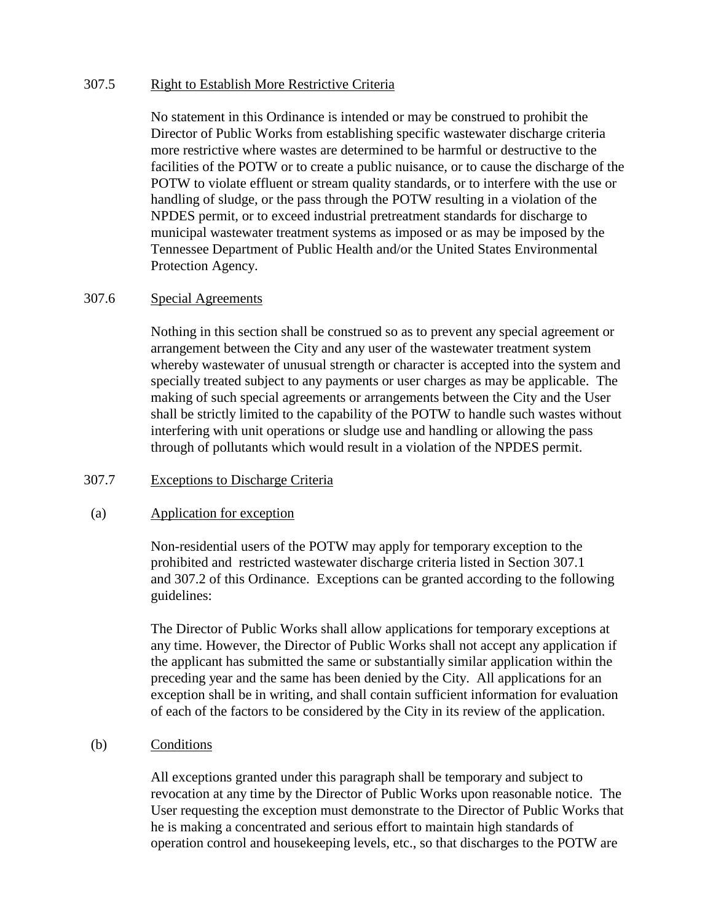## 307.5 Right to Establish More Restrictive Criteria

No statement in this Ordinance is intended or may be construed to prohibit the Director of Public Works from establishing specific wastewater discharge criteria more restrictive where wastes are determined to be harmful or destructive to the facilities of the POTW or to create a public nuisance, or to cause the discharge of the POTW to violate effluent or stream quality standards, or to interfere with the use or handling of sludge, or the pass through the POTW resulting in a violation of the NPDES permit, or to exceed industrial pretreatment standards for discharge to municipal wastewater treatment systems as imposed or as may be imposed by the Tennessee Department of Public Health and/or the United States Environmental Protection Agency.

## 307.6 Special Agreements

Nothing in this section shall be construed so as to prevent any special agreement or arrangement between the City and any user of the wastewater treatment system whereby wastewater of unusual strength or character is accepted into the system and specially treated subject to any payments or user charges as may be applicable. The making of such special agreements or arrangements between the City and the User shall be strictly limited to the capability of the POTW to handle such wastes without interfering with unit operations or sludge use and handling or allowing the pass through of pollutants which would result in a violation of the NPDES permit.

## 307.7 Exceptions to Discharge Criteria

## (a) Application for exception

Non-residential users of the POTW may apply for temporary exception to the prohibited and restricted wastewater discharge criteria listed in Section 307.1 and 307.2 of this Ordinance. Exceptions can be granted according to the following guidelines:

The Director of Public Works shall allow applications for temporary exceptions at any time. However, the Director of Public Works shall not accept any application if the applicant has submitted the same or substantially similar application within the preceding year and the same has been denied by the City. All applications for an exception shall be in writing, and shall contain sufficient information for evaluation of each of the factors to be considered by the City in its review of the application.

## (b) Conditions

All exceptions granted under this paragraph shall be temporary and subject to revocation at any time by the Director of Public Works upon reasonable notice. The User requesting the exception must demonstrate to the Director of Public Works that he is making a concentrated and serious effort to maintain high standards of operation control and housekeeping levels, etc., so that discharges to the POTW are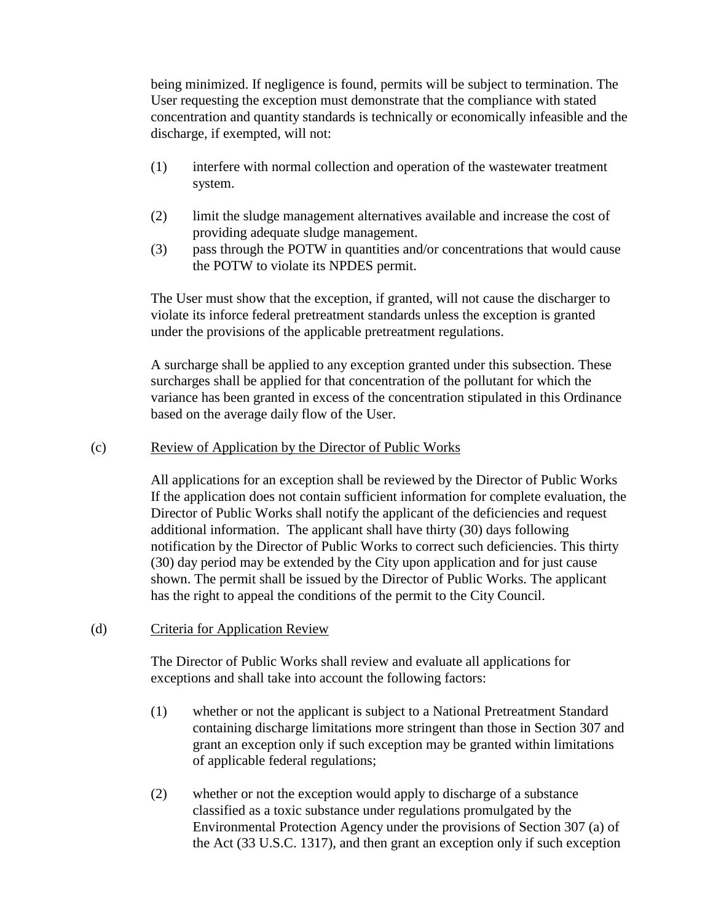being minimized. If negligence is found, permits will be subject to termination. The User requesting the exception must demonstrate that the compliance with stated concentration and quantity standards is technically or economically infeasible and the discharge, if exempted, will not:

- (1) interfere with normal collection and operation of the wastewater treatment system.
- (2) limit the sludge management alternatives available and increase the cost of providing adequate sludge management.
- (3) pass through the POTW in quantities and/or concentrations that would cause the POTW to violate its NPDES permit.

The User must show that the exception, if granted, will not cause the discharger to violate its inforce federal pretreatment standards unless the exception is granted under the provisions of the applicable pretreatment regulations.

A surcharge shall be applied to any exception granted under this subsection. These surcharges shall be applied for that concentration of the pollutant for which the variance has been granted in excess of the concentration stipulated in this Ordinance based on the average daily flow of the User.

## (c) Review of Application by the Director of Public Works

All applications for an exception shall be reviewed by the Director of Public Works If the application does not contain sufficient information for complete evaluation, the Director of Public Works shall notify the applicant of the deficiencies and request additional information. The applicant shall have thirty (30) days following notification by the Director of Public Works to correct such deficiencies. This thirty (30) day period may be extended by the City upon application and for just cause shown. The permit shall be issued by the Director of Public Works. The applicant has the right to appeal the conditions of the permit to the City Council.

# (d) Criteria for Application Review

The Director of Public Works shall review and evaluate all applications for exceptions and shall take into account the following factors:

- (1) whether or not the applicant is subject to a National Pretreatment Standard containing discharge limitations more stringent than those in Section 307 and grant an exception only if such exception may be granted within limitations of applicable federal regulations;
- (2) whether or not the exception would apply to discharge of a substance classified as a toxic substance under regulations promulgated by the Environmental Protection Agency under the provisions of Section 307 (a) of the Act (33 U.S.C. 1317), and then grant an exception only if such exception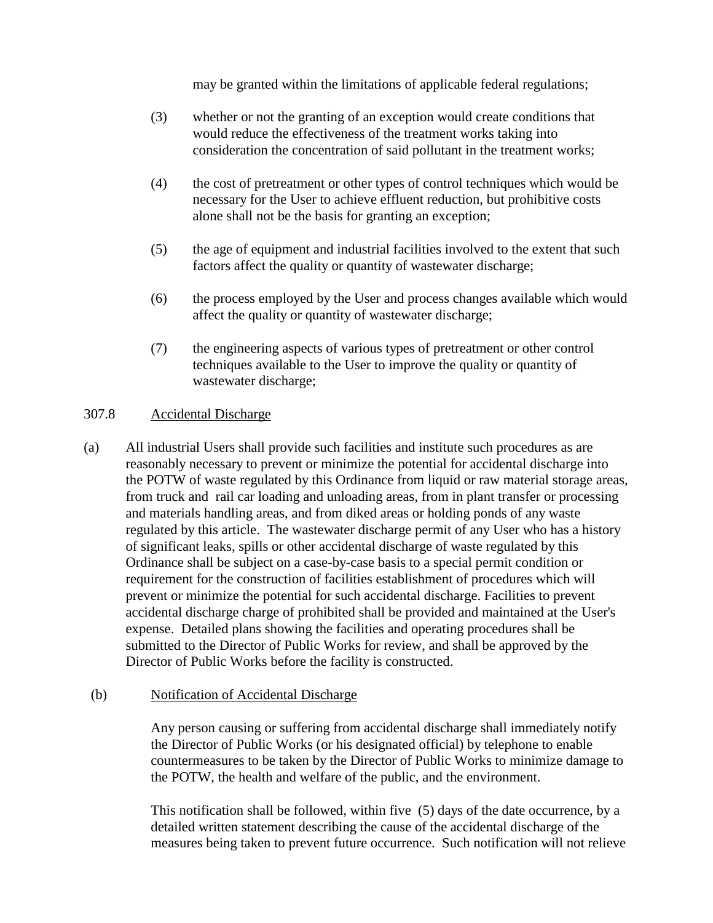may be granted within the limitations of applicable federal regulations;

- (3) whether or not the granting of an exception would create conditions that would reduce the effectiveness of the treatment works taking into consideration the concentration of said pollutant in the treatment works;
- (4) the cost of pretreatment or other types of control techniques which would be necessary for the User to achieve effluent reduction, but prohibitive costs alone shall not be the basis for granting an exception;
- (5) the age of equipment and industrial facilities involved to the extent that such factors affect the quality or quantity of wastewater discharge;
- (6) the process employed by the User and process changes available which would affect the quality or quantity of wastewater discharge;
- (7) the engineering aspects of various types of pretreatment or other control techniques available to the User to improve the quality or quantity of wastewater discharge;

# 307.8 Accidental Discharge

(a) All industrial Users shall provide such facilities and institute such procedures as are reasonably necessary to prevent or minimize the potential for accidental discharge into the POTW of waste regulated by this Ordinance from liquid or raw material storage areas, from truck and rail car loading and unloading areas, from in plant transfer or processing and materials handling areas, and from diked areas or holding ponds of any waste regulated by this article. The wastewater discharge permit of any User who has a history of significant leaks, spills or other accidental discharge of waste regulated by this Ordinance shall be subject on a case-by-case basis to a special permit condition or requirement for the construction of facilities establishment of procedures which will prevent or minimize the potential for such accidental discharge. Facilities to prevent accidental discharge charge of prohibited shall be provided and maintained at the User's expense. Detailed plans showing the facilities and operating procedures shall be submitted to the Director of Public Works for review, and shall be approved by the Director of Public Works before the facility is constructed.

## (b) Notification of Accidental Discharge

Any person causing or suffering from accidental discharge shall immediately notify the Director of Public Works (or his designated official) by telephone to enable countermeasures to be taken by the Director of Public Works to minimize damage to the POTW, the health and welfare of the public, and the environment.

This notification shall be followed, within five (5) days of the date occurrence, by a detailed written statement describing the cause of the accidental discharge of the measures being taken to prevent future occurrence. Such notification will not relieve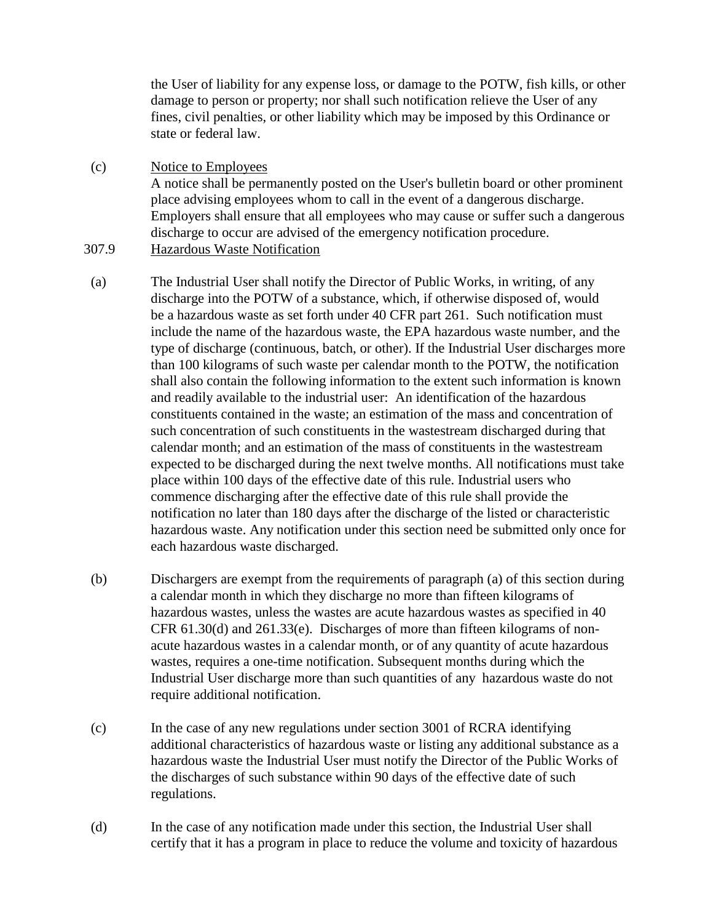the User of liability for any expense loss, or damage to the POTW, fish kills, or other damage to person or property; nor shall such notification relieve the User of any fines, civil penalties, or other liability which may be imposed by this Ordinance or state or federal law.

 (c) Notice to Employees A notice shall be permanently posted on the User's bulletin board or other prominent place advising employees whom to call in the event of a dangerous discharge. Employers shall ensure that all employees who may cause or suffer such a dangerous discharge to occur are advised of the emergency notification procedure. 307.9 Hazardous Waste Notification

- (a) The Industrial User shall notify the Director of Public Works, in writing, of any discharge into the POTW of a substance, which, if otherwise disposed of, would be a hazardous waste as set forth under 40 CFR part 261. Such notification must include the name of the hazardous waste, the EPA hazardous waste number, and the type of discharge (continuous, batch, or other). If the Industrial User discharges more than 100 kilograms of such waste per calendar month to the POTW, the notification shall also contain the following information to the extent such information is known and readily available to the industrial user: An identification of the hazardous constituents contained in the waste; an estimation of the mass and concentration of such concentration of such constituents in the wastestream discharged during that calendar month; and an estimation of the mass of constituents in the wastestream expected to be discharged during the next twelve months. All notifications must take place within 100 days of the effective date of this rule. Industrial users who commence discharging after the effective date of this rule shall provide the notification no later than 180 days after the discharge of the listed or characteristic hazardous waste. Any notification under this section need be submitted only once for each hazardous waste discharged.
- (b) Dischargers are exempt from the requirements of paragraph (a) of this section during a calendar month in which they discharge no more than fifteen kilograms of hazardous wastes, unless the wastes are acute hazardous wastes as specified in 40 CFR 61.30(d) and 261.33(e). Discharges of more than fifteen kilograms of nonacute hazardous wastes in a calendar month, or of any quantity of acute hazardous wastes, requires a one-time notification. Subsequent months during which the Industrial User discharge more than such quantities of any hazardous waste do not require additional notification.
- (c) In the case of any new regulations under section 3001 of RCRA identifying additional characteristics of hazardous waste or listing any additional substance as a hazardous waste the Industrial User must notify the Director of the Public Works of the discharges of such substance within 90 days of the effective date of such regulations.
- (d) In the case of any notification made under this section, the Industrial User shall certify that it has a program in place to reduce the volume and toxicity of hazardous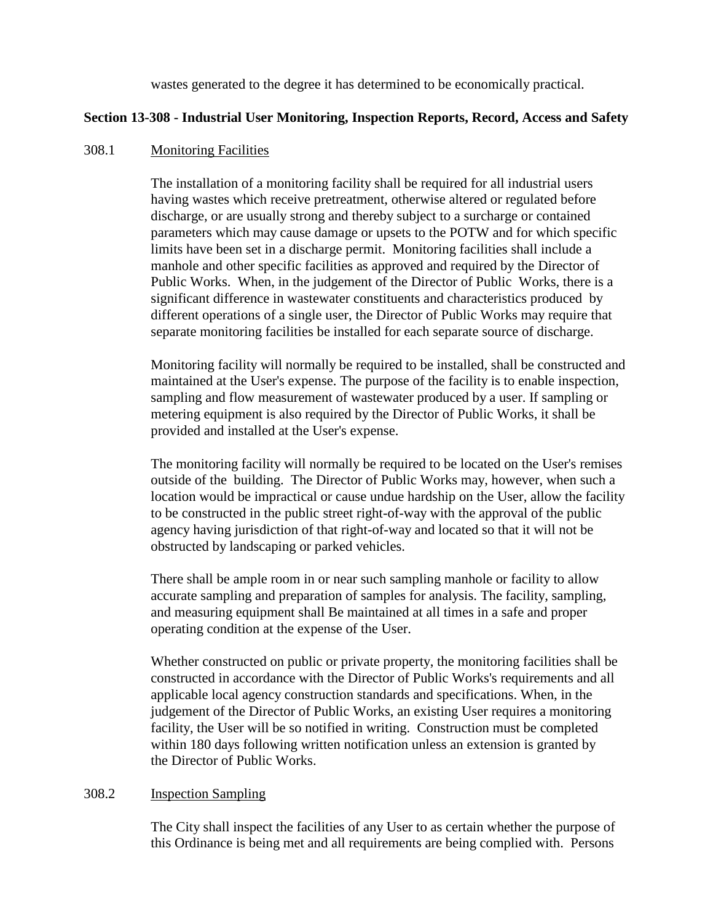wastes generated to the degree it has determined to be economically practical.

## **Section 13-308 - Industrial User Monitoring, Inspection Reports, Record, Access and Safety**

#### 308.1 Monitoring Facilities

The installation of a monitoring facility shall be required for all industrial users having wastes which receive pretreatment, otherwise altered or regulated before discharge, or are usually strong and thereby subject to a surcharge or contained parameters which may cause damage or upsets to the POTW and for which specific limits have been set in a discharge permit. Monitoring facilities shall include a manhole and other specific facilities as approved and required by the Director of Public Works. When, in the judgement of the Director of Public Works, there is a significant difference in wastewater constituents and characteristics produced by different operations of a single user, the Director of Public Works may require that separate monitoring facilities be installed for each separate source of discharge.

Monitoring facility will normally be required to be installed, shall be constructed and maintained at the User's expense. The purpose of the facility is to enable inspection, sampling and flow measurement of wastewater produced by a user. If sampling or metering equipment is also required by the Director of Public Works, it shall be provided and installed at the User's expense.

The monitoring facility will normally be required to be located on the User's remises outside of the building. The Director of Public Works may, however, when such a location would be impractical or cause undue hardship on the User, allow the facility to be constructed in the public street right-of-way with the approval of the public agency having jurisdiction of that right-of-way and located so that it will not be obstructed by landscaping or parked vehicles.

There shall be ample room in or near such sampling manhole or facility to allow accurate sampling and preparation of samples for analysis. The facility, sampling, and measuring equipment shall Be maintained at all times in a safe and proper operating condition at the expense of the User.

Whether constructed on public or private property, the monitoring facilities shall be constructed in accordance with the Director of Public Works's requirements and all applicable local agency construction standards and specifications. When, in the judgement of the Director of Public Works, an existing User requires a monitoring facility, the User will be so notified in writing. Construction must be completed within 180 days following written notification unless an extension is granted by the Director of Public Works.

#### 308.2 Inspection Sampling

The City shall inspect the facilities of any User to as certain whether the purpose of this Ordinance is being met and all requirements are being complied with. Persons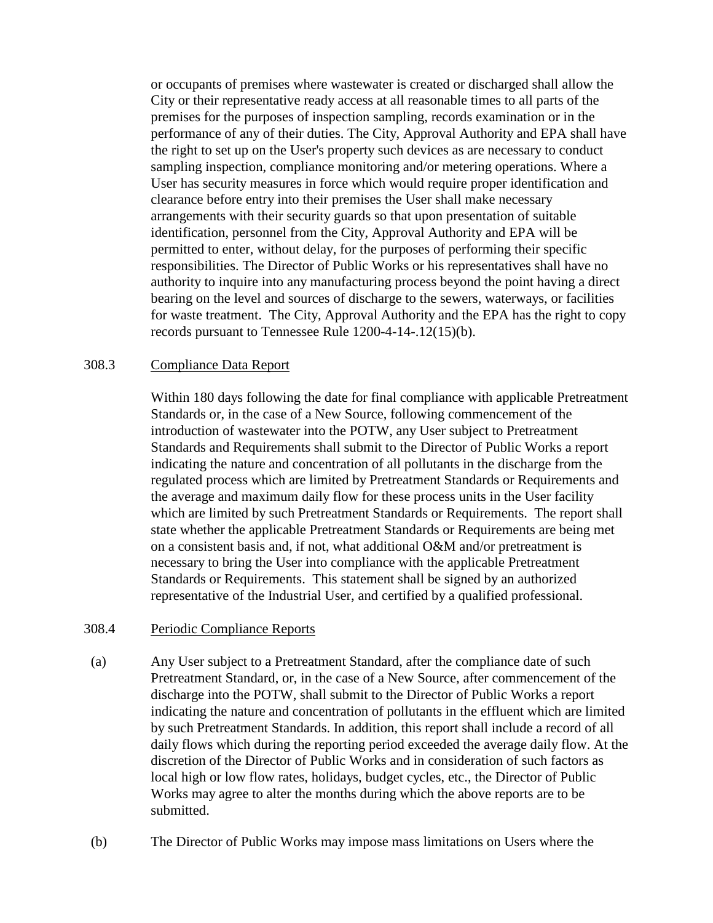or occupants of premises where wastewater is created or discharged shall allow the City or their representative ready access at all reasonable times to all parts of the premises for the purposes of inspection sampling, records examination or in the performance of any of their duties. The City, Approval Authority and EPA shall have the right to set up on the User's property such devices as are necessary to conduct sampling inspection, compliance monitoring and/or metering operations. Where a User has security measures in force which would require proper identification and clearance before entry into their premises the User shall make necessary arrangements with their security guards so that upon presentation of suitable identification, personnel from the City, Approval Authority and EPA will be permitted to enter, without delay, for the purposes of performing their specific responsibilities. The Director of Public Works or his representatives shall have no authority to inquire into any manufacturing process beyond the point having a direct bearing on the level and sources of discharge to the sewers, waterways, or facilities for waste treatment. The City, Approval Authority and the EPA has the right to copy records pursuant to Tennessee Rule 1200-4-14-.12(15)(b).

### 308.3 Compliance Data Report

Within 180 days following the date for final compliance with applicable Pretreatment Standards or, in the case of a New Source, following commencement of the introduction of wastewater into the POTW, any User subject to Pretreatment Standards and Requirements shall submit to the Director of Public Works a report indicating the nature and concentration of all pollutants in the discharge from the regulated process which are limited by Pretreatment Standards or Requirements and the average and maximum daily flow for these process units in the User facility which are limited by such Pretreatment Standards or Requirements. The report shall state whether the applicable Pretreatment Standards or Requirements are being met on a consistent basis and, if not, what additional O&M and/or pretreatment is necessary to bring the User into compliance with the applicable Pretreatment Standards or Requirements. This statement shall be signed by an authorized representative of the Industrial User, and certified by a qualified professional.

### 308.4 Periodic Compliance Reports

- (a) Any User subject to a Pretreatment Standard, after the compliance date of such Pretreatment Standard, or, in the case of a New Source, after commencement of the discharge into the POTW, shall submit to the Director of Public Works a report indicating the nature and concentration of pollutants in the effluent which are limited by such Pretreatment Standards. In addition, this report shall include a record of all daily flows which during the reporting period exceeded the average daily flow. At the discretion of the Director of Public Works and in consideration of such factors as local high or low flow rates, holidays, budget cycles, etc., the Director of Public Works may agree to alter the months during which the above reports are to be submitted.
- (b) The Director of Public Works may impose mass limitations on Users where the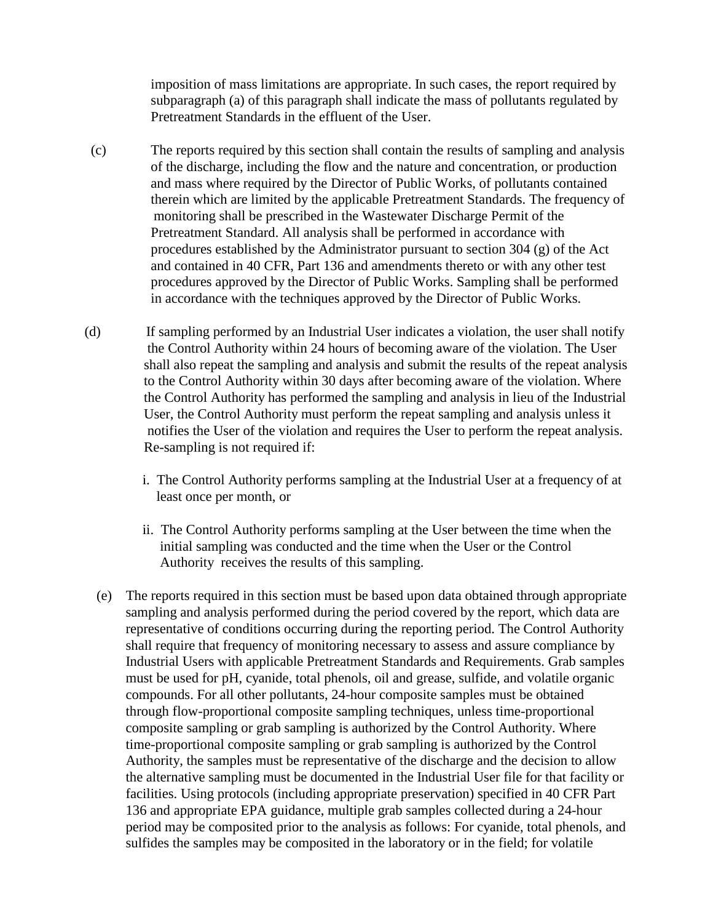imposition of mass limitations are appropriate. In such cases, the report required by subparagraph (a) of this paragraph shall indicate the mass of pollutants regulated by Pretreatment Standards in the effluent of the User.

- (c) The reports required by this section shall contain the results of sampling and analysis of the discharge, including the flow and the nature and concentration, or production and mass where required by the Director of Public Works, of pollutants contained therein which are limited by the applicable Pretreatment Standards. The frequency of monitoring shall be prescribed in the Wastewater Discharge Permit of the Pretreatment Standard. All analysis shall be performed in accordance with procedures established by the Administrator pursuant to section 304 (g) of the Act and contained in 40 CFR, Part 136 and amendments thereto or with any other test procedures approved by the Director of Public Works. Sampling shall be performed in accordance with the techniques approved by the Director of Public Works.
- (d) If sampling performed by an Industrial User indicates a violation, the user shall notify the Control Authority within 24 hours of becoming aware of the violation. The User shall also repeat the sampling and analysis and submit the results of the repeat analysis to the Control Authority within 30 days after becoming aware of the violation. Where the Control Authority has performed the sampling and analysis in lieu of the Industrial User, the Control Authority must perform the repeat sampling and analysis unless it notifies the User of the violation and requires the User to perform the repeat analysis. Re-sampling is not required if:
	- i. The Control Authority performs sampling at the Industrial User at a frequency of at least once per month, or
	- ii. The Control Authority performs sampling at the User between the time when the initial sampling was conducted and the time when the User or the Control Authority receives the results of this sampling.
	- (e) The reports required in this section must be based upon data obtained through appropriate sampling and analysis performed during the period covered by the report, which data are representative of conditions occurring during the reporting period. The Control Authority shall require that frequency of monitoring necessary to assess and assure compliance by Industrial Users with applicable Pretreatment Standards and Requirements. Grab samples must be used for pH, cyanide, total phenols, oil and grease, sulfide, and volatile organic compounds. For all other pollutants, 24-hour composite samples must be obtained through flow-proportional composite sampling techniques, unless time-proportional composite sampling or grab sampling is authorized by the Control Authority. Where time-proportional composite sampling or grab sampling is authorized by the Control Authority, the samples must be representative of the discharge and the decision to allow the alternative sampling must be documented in the Industrial User file for that facility or facilities. Using protocols (including appropriate preservation) specified in 40 CFR Part 136 and appropriate EPA guidance, multiple grab samples collected during a 24-hour period may be composited prior to the analysis as follows: For cyanide, total phenols, and sulfides the samples may be composited in the laboratory or in the field; for volatile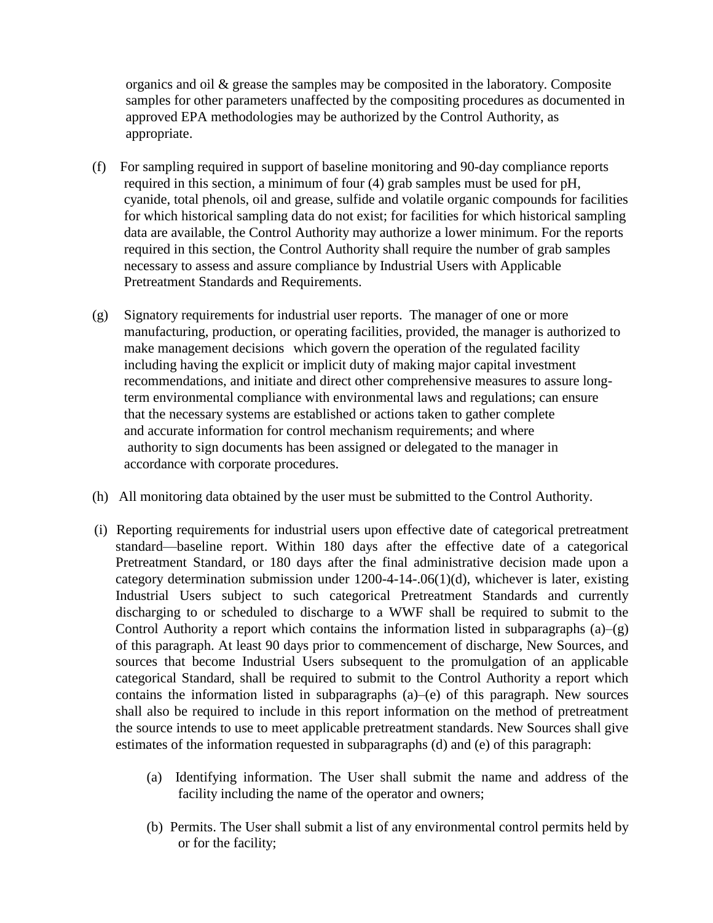organics and oil  $\&$  grease the samples may be composited in the laboratory. Composite samples for other parameters unaffected by the compositing procedures as documented in approved EPA methodologies may be authorized by the Control Authority, as appropriate.

- (f) For sampling required in support of baseline monitoring and 90-day compliance reports required in this section, a minimum of four (4) grab samples must be used for pH, cyanide, total phenols, oil and grease, sulfide and volatile organic compounds for facilities for which historical sampling data do not exist; for facilities for which historical sampling data are available, the Control Authority may authorize a lower minimum. For the reports required in this section, the Control Authority shall require the number of grab samples necessary to assess and assure compliance by Industrial Users with Applicable Pretreatment Standards and Requirements.
- (g) Signatory requirements for industrial user reports. The manager of one or more manufacturing, production, or operating facilities, provided, the manager is authorized to make management decisions which govern the operation of the regulated facility including having the explicit or implicit duty of making major capital investment recommendations, and initiate and direct other comprehensive measures to assure longterm environmental compliance with environmental laws and regulations; can ensure that the necessary systems are established or actions taken to gather complete and accurate information for control mechanism requirements; and where authority to sign documents has been assigned or delegated to the manager in accordance with corporate procedures.
- (h) All monitoring data obtained by the user must be submitted to the Control Authority.
- (i) Reporting requirements for industrial users upon effective date of categorical pretreatment standard—baseline report. Within 180 days after the effective date of a categorical Pretreatment Standard, or 180 days after the final administrative decision made upon a category determination submission under 1200-4-14-.06(1)(d), whichever is later, existing Industrial Users subject to such categorical Pretreatment Standards and currently discharging to or scheduled to discharge to a WWF shall be required to submit to the Control Authority a report which contains the information listed in subparagraphs  $(a)$ – $(g)$ of this paragraph. At least 90 days prior to commencement of discharge, New Sources, and sources that become Industrial Users subsequent to the promulgation of an applicable categorical Standard, shall be required to submit to the Control Authority a report which contains the information listed in subparagraphs (a)–(e) of this paragraph. New sources shall also be required to include in this report information on the method of pretreatment the source intends to use to meet applicable pretreatment standards. New Sources shall give estimates of the information requested in subparagraphs (d) and (e) of this paragraph:
	- (a) Identifying information. The User shall submit the name and address of the facility including the name of the operator and owners;
	- (b) Permits. The User shall submit a list of any environmental control permits held by or for the facility;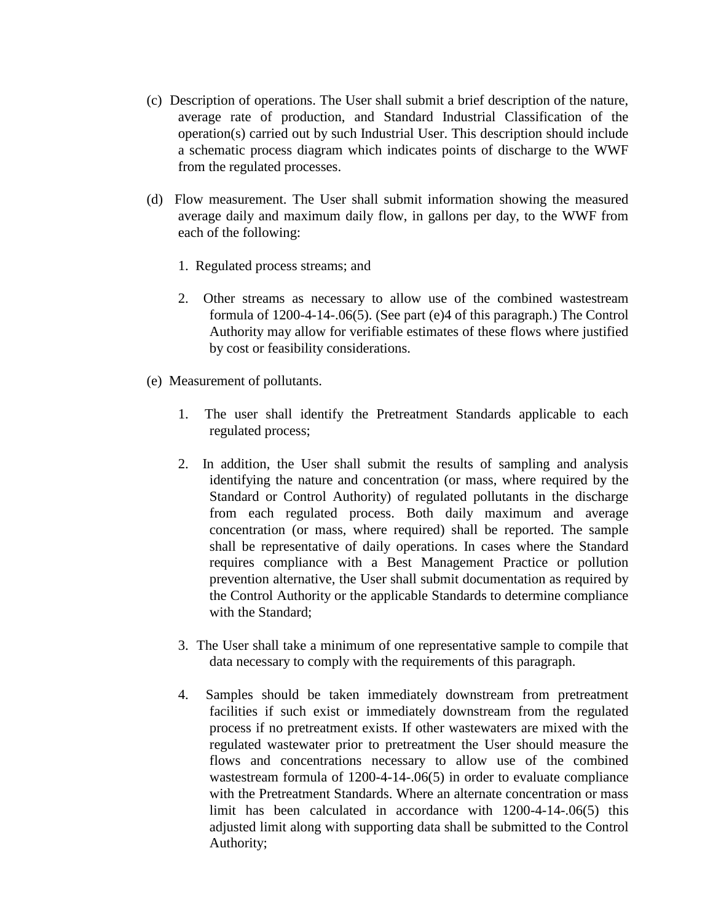- (c) Description of operations. The User shall submit a brief description of the nature, average rate of production, and Standard Industrial Classification of the operation(s) carried out by such Industrial User. This description should include a schematic process diagram which indicates points of discharge to the WWF from the regulated processes.
- (d) Flow measurement. The User shall submit information showing the measured average daily and maximum daily flow, in gallons per day, to the WWF from each of the following:
	- 1. Regulated process streams; and
	- 2. Other streams as necessary to allow use of the combined wastestream formula of 1200-4-14-.06(5). (See part (e)4 of this paragraph.) The Control Authority may allow for verifiable estimates of these flows where justified by cost or feasibility considerations.
- (e) Measurement of pollutants.
	- 1. The user shall identify the Pretreatment Standards applicable to each regulated process;
	- 2. In addition, the User shall submit the results of sampling and analysis identifying the nature and concentration (or mass, where required by the Standard or Control Authority) of regulated pollutants in the discharge from each regulated process. Both daily maximum and average concentration (or mass, where required) shall be reported. The sample shall be representative of daily operations. In cases where the Standard requires compliance with a Best Management Practice or pollution prevention alternative, the User shall submit documentation as required by the Control Authority or the applicable Standards to determine compliance with the Standard;
	- 3. The User shall take a minimum of one representative sample to compile that data necessary to comply with the requirements of this paragraph.
	- 4. Samples should be taken immediately downstream from pretreatment facilities if such exist or immediately downstream from the regulated process if no pretreatment exists. If other wastewaters are mixed with the regulated wastewater prior to pretreatment the User should measure the flows and concentrations necessary to allow use of the combined wastestream formula of 1200-4-14-.06(5) in order to evaluate compliance with the Pretreatment Standards. Where an alternate concentration or mass limit has been calculated in accordance with 1200-4-14-.06(5) this adjusted limit along with supporting data shall be submitted to the Control Authority;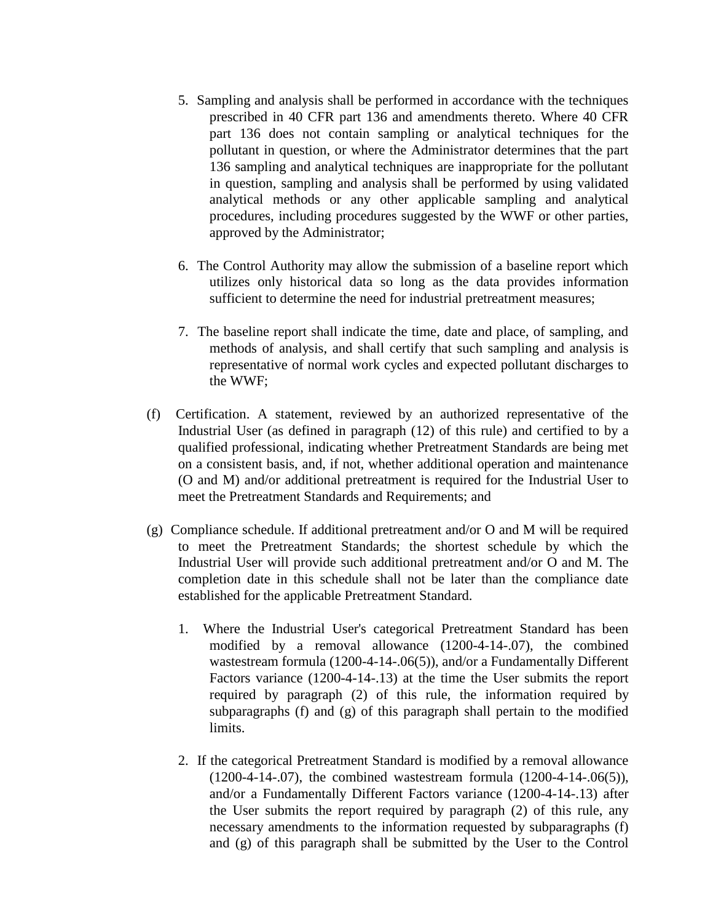- 5. Sampling and analysis shall be performed in accordance with the techniques prescribed in 40 CFR part 136 and amendments thereto. Where 40 CFR part 136 does not contain sampling or analytical techniques for the pollutant in question, or where the Administrator determines that the part 136 sampling and analytical techniques are inappropriate for the pollutant in question, sampling and analysis shall be performed by using validated analytical methods or any other applicable sampling and analytical procedures, including procedures suggested by the WWF or other parties, approved by the Administrator;
- 6. The Control Authority may allow the submission of a baseline report which utilizes only historical data so long as the data provides information sufficient to determine the need for industrial pretreatment measures;
- 7. The baseline report shall indicate the time, date and place, of sampling, and methods of analysis, and shall certify that such sampling and analysis is representative of normal work cycles and expected pollutant discharges to the WWF;
- (f) Certification. A statement, reviewed by an authorized representative of the Industrial User (as defined in paragraph (12) of this rule) and certified to by a qualified professional, indicating whether Pretreatment Standards are being met on a consistent basis, and, if not, whether additional operation and maintenance (O and M) and/or additional pretreatment is required for the Industrial User to meet the Pretreatment Standards and Requirements; and
- (g) Compliance schedule. If additional pretreatment and/or O and M will be required to meet the Pretreatment Standards; the shortest schedule by which the Industrial User will provide such additional pretreatment and/or O and M. The completion date in this schedule shall not be later than the compliance date established for the applicable Pretreatment Standard.
	- 1. Where the Industrial User's categorical Pretreatment Standard has been modified by a removal allowance (1200-4-14-.07), the combined wastestream formula (1200-4-14-.06(5)), and/or a Fundamentally Different Factors variance (1200-4-14-.13) at the time the User submits the report required by paragraph (2) of this rule, the information required by subparagraphs (f) and (g) of this paragraph shall pertain to the modified limits.
	- 2. If the categorical Pretreatment Standard is modified by a removal allowance (1200-4-14-.07), the combined wastestream formula (1200-4-14-.06(5)), and/or a Fundamentally Different Factors variance (1200-4-14-.13) after the User submits the report required by paragraph (2) of this rule, any necessary amendments to the information requested by subparagraphs (f) and (g) of this paragraph shall be submitted by the User to the Control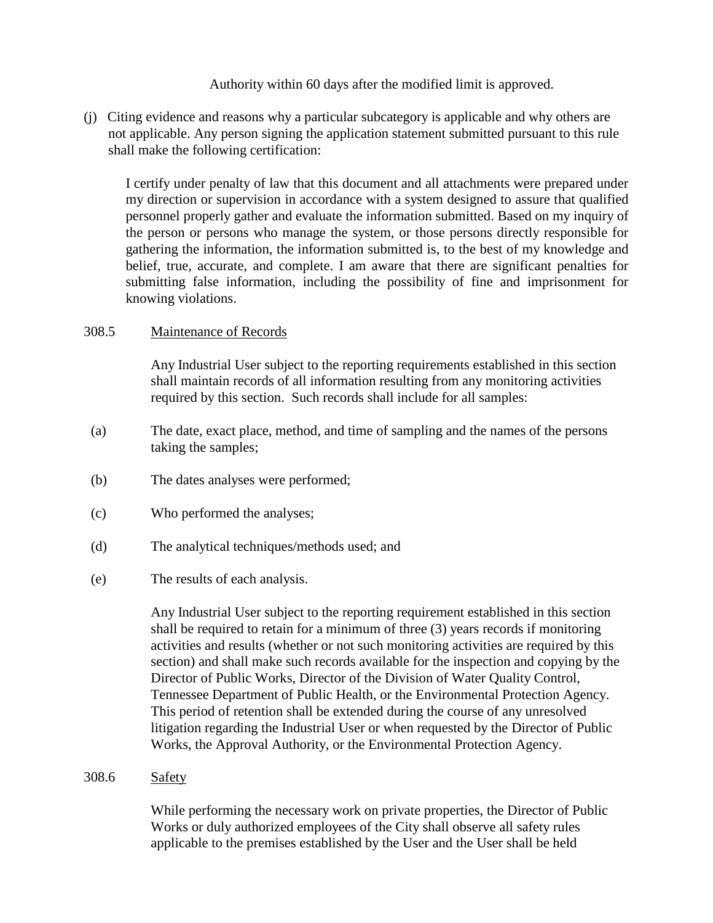Authority within 60 days after the modified limit is approved.

(j) Citing evidence and reasons why a particular subcategory is applicable and why others are not applicable. Any person signing the application statement submitted pursuant to this rule shall make the following certification:

I certify under penalty of law that this document and all attachments were prepared under my direction or supervision in accordance with a system designed to assure that qualified personnel properly gather and evaluate the information submitted. Based on my inquiry of the person or persons who manage the system, or those persons directly responsible for gathering the information, the information submitted is, to the best of my knowledge and belief, true, accurate, and complete. I am aware that there are significant penalties for submitting false information, including the possibility of fine and imprisonment for knowing violations.

## 308.5 Maintenance of Records

Any Industrial User subject to the reporting requirements established in this section shall maintain records of all information resulting from any monitoring activities required by this section. Such records shall include for all samples:

- (a) The date, exact place, method, and time of sampling and the names of the persons taking the samples;
- (b) The dates analyses were performed;
- (c) Who performed the analyses;
- (d) The analytical techniques/methods used; and
- (e) The results of each analysis.

Any Industrial User subject to the reporting requirement established in this section shall be required to retain for a minimum of three (3) years records if monitoring activities and results (whether or not such monitoring activities are required by this section) and shall make such records available for the inspection and copying by the Director of Public Works, Director of the Division of Water Quality Control, Tennessee Department of Public Health, or the Environmental Protection Agency. This period of retention shall be extended during the course of any unresolved litigation regarding the Industrial User or when requested by the Director of Public Works, the Approval Authority, or the Environmental Protection Agency.

308.6 Safety

While performing the necessary work on private properties, the Director of Public Works or duly authorized employees of the City shall observe all safety rules applicable to the premises established by the User and the User shall be held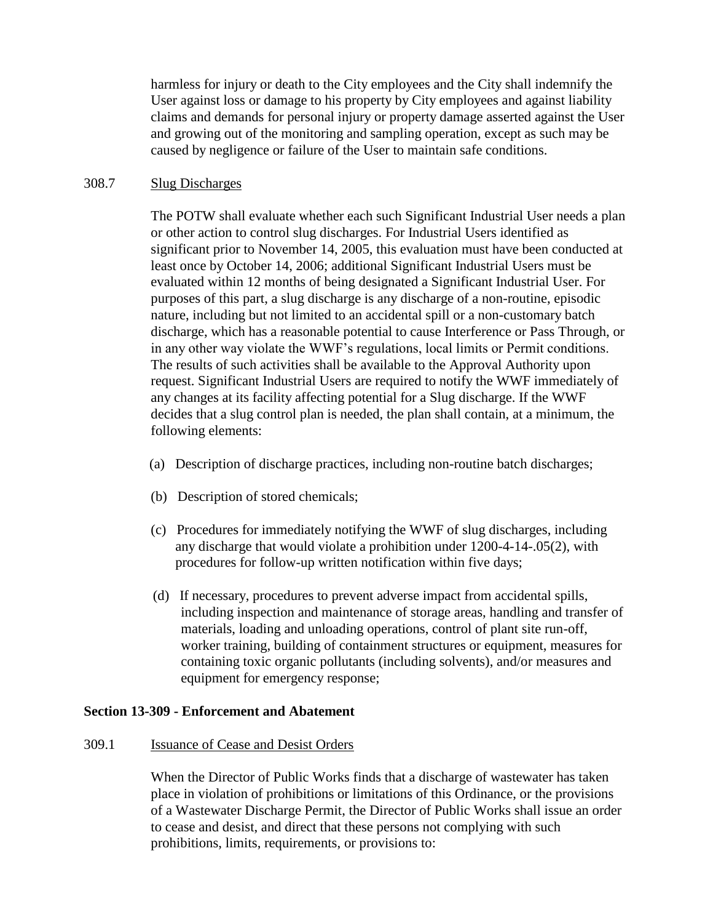harmless for injury or death to the City employees and the City shall indemnify the User against loss or damage to his property by City employees and against liability claims and demands for personal injury or property damage asserted against the User and growing out of the monitoring and sampling operation, except as such may be caused by negligence or failure of the User to maintain safe conditions.

### 308.7 Slug Discharges

The POTW shall evaluate whether each such Significant Industrial User needs a plan or other action to control slug discharges. For Industrial Users identified as significant prior to November 14, 2005, this evaluation must have been conducted at least once by October 14, 2006; additional Significant Industrial Users must be evaluated within 12 months of being designated a Significant Industrial User. For purposes of this part, a slug discharge is any discharge of a non-routine, episodic nature, including but not limited to an accidental spill or a non-customary batch discharge, which has a reasonable potential to cause Interference or Pass Through, or in any other way violate the WWF's regulations, local limits or Permit conditions. The results of such activities shall be available to the Approval Authority upon request. Significant Industrial Users are required to notify the WWF immediately of any changes at its facility affecting potential for a Slug discharge. If the WWF decides that a slug control plan is needed, the plan shall contain, at a minimum, the following elements:

- (a) Description of discharge practices, including non-routine batch discharges;
- (b) Description of stored chemicals;
- (c) Procedures for immediately notifying the WWF of slug discharges, including any discharge that would violate a prohibition under 1200-4-14-.05(2), with procedures for follow-up written notification within five days;
- (d) If necessary, procedures to prevent adverse impact from accidental spills, including inspection and maintenance of storage areas, handling and transfer of materials, loading and unloading operations, control of plant site run-off, worker training, building of containment structures or equipment, measures for containing toxic organic pollutants (including solvents), and/or measures and equipment for emergency response;

## **Section 13-309 - Enforcement and Abatement**

### 309.1 Issuance of Cease and Desist Orders

When the Director of Public Works finds that a discharge of wastewater has taken place in violation of prohibitions or limitations of this Ordinance, or the provisions of a Wastewater Discharge Permit, the Director of Public Works shall issue an order to cease and desist, and direct that these persons not complying with such prohibitions, limits, requirements, or provisions to: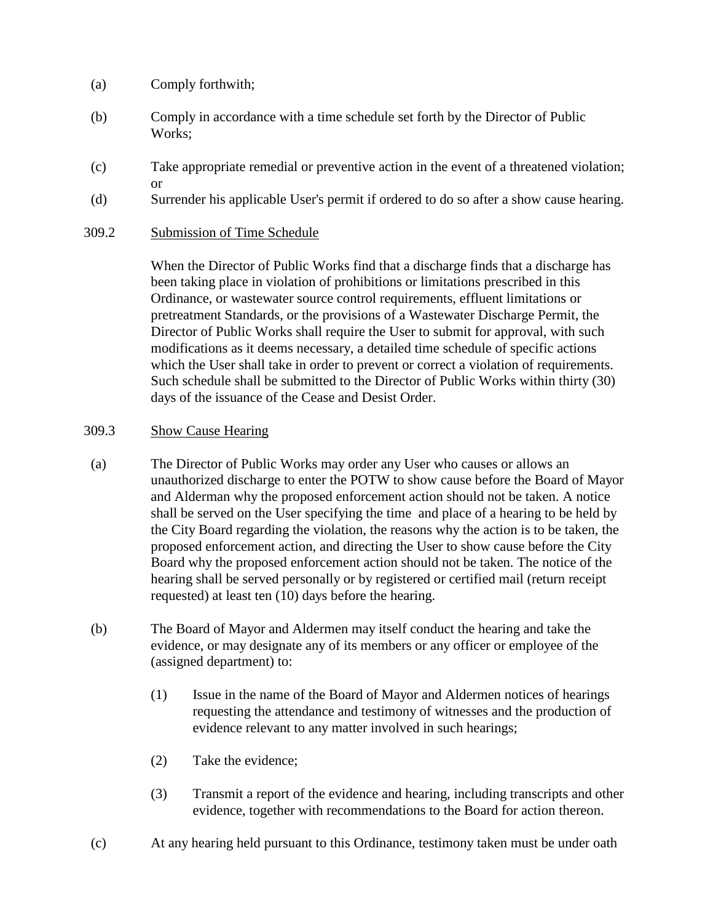- (a) Comply forthwith;
- (b) Comply in accordance with a time schedule set forth by the Director of Public Works;
- (c) Take appropriate remedial or preventive action in the event of a threatened violation; or
- (d) Surrender his applicable User's permit if ordered to do so after a show cause hearing.
- 309.2 Submission of Time Schedule

When the Director of Public Works find that a discharge finds that a discharge has been taking place in violation of prohibitions or limitations prescribed in this Ordinance, or wastewater source control requirements, effluent limitations or pretreatment Standards, or the provisions of a Wastewater Discharge Permit, the Director of Public Works shall require the User to submit for approval, with such modifications as it deems necessary, a detailed time schedule of specific actions which the User shall take in order to prevent or correct a violation of requirements. Such schedule shall be submitted to the Director of Public Works within thirty (30) days of the issuance of the Cease and Desist Order.

## 309.3 Show Cause Hearing

- (a) The Director of Public Works may order any User who causes or allows an unauthorized discharge to enter the POTW to show cause before the Board of Mayor and Alderman why the proposed enforcement action should not be taken. A notice shall be served on the User specifying the time and place of a hearing to be held by the City Board regarding the violation, the reasons why the action is to be taken, the proposed enforcement action, and directing the User to show cause before the City Board why the proposed enforcement action should not be taken. The notice of the hearing shall be served personally or by registered or certified mail (return receipt requested) at least ten (10) days before the hearing.
- (b) The Board of Mayor and Aldermen may itself conduct the hearing and take the evidence, or may designate any of its members or any officer or employee of the (assigned department) to:
	- (1) Issue in the name of the Board of Mayor and Aldermen notices of hearings requesting the attendance and testimony of witnesses and the production of evidence relevant to any matter involved in such hearings;
	- (2) Take the evidence;
	- (3) Transmit a report of the evidence and hearing, including transcripts and other evidence, together with recommendations to the Board for action thereon.
- (c) At any hearing held pursuant to this Ordinance, testimony taken must be under oath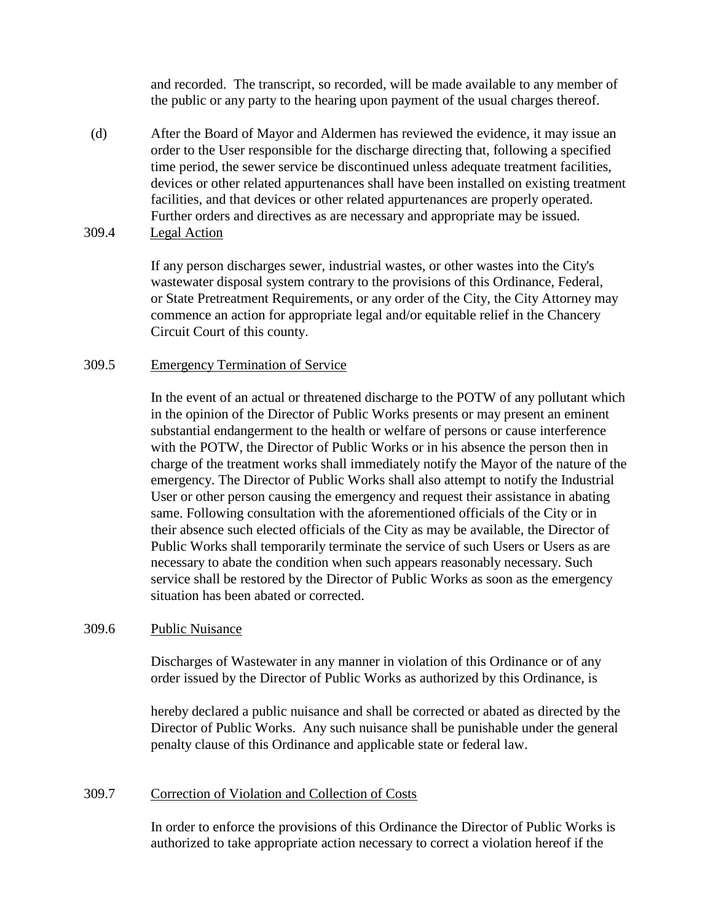and recorded. The transcript, so recorded, will be made available to any member of the public or any party to the hearing upon payment of the usual charges thereof.

- (d) After the Board of Mayor and Aldermen has reviewed the evidence, it may issue an order to the User responsible for the discharge directing that, following a specified time period, the sewer service be discontinued unless adequate treatment facilities, devices or other related appurtenances shall have been installed on existing treatment facilities, and that devices or other related appurtenances are properly operated. Further orders and directives as are necessary and appropriate may be issued.
- 309.4 Legal Action

If any person discharges sewer, industrial wastes, or other wastes into the City's wastewater disposal system contrary to the provisions of this Ordinance, Federal, or State Pretreatment Requirements, or any order of the City, the City Attorney may commence an action for appropriate legal and/or equitable relief in the Chancery Circuit Court of this county.

### 309.5 Emergency Termination of Service

In the event of an actual or threatened discharge to the POTW of any pollutant which in the opinion of the Director of Public Works presents or may present an eminent substantial endangerment to the health or welfare of persons or cause interference with the POTW, the Director of Public Works or in his absence the person then in charge of the treatment works shall immediately notify the Mayor of the nature of the emergency. The Director of Public Works shall also attempt to notify the Industrial User or other person causing the emergency and request their assistance in abating same. Following consultation with the aforementioned officials of the City or in their absence such elected officials of the City as may be available, the Director of Public Works shall temporarily terminate the service of such Users or Users as are necessary to abate the condition when such appears reasonably necessary. Such service shall be restored by the Director of Public Works as soon as the emergency situation has been abated or corrected.

### 309.6 Public Nuisance

Discharges of Wastewater in any manner in violation of this Ordinance or of any order issued by the Director of Public Works as authorized by this Ordinance, is

hereby declared a public nuisance and shall be corrected or abated as directed by the Director of Public Works. Any such nuisance shall be punishable under the general penalty clause of this Ordinance and applicable state or federal law.

## 309.7 Correction of Violation and Collection of Costs

In order to enforce the provisions of this Ordinance the Director of Public Works is authorized to take appropriate action necessary to correct a violation hereof if the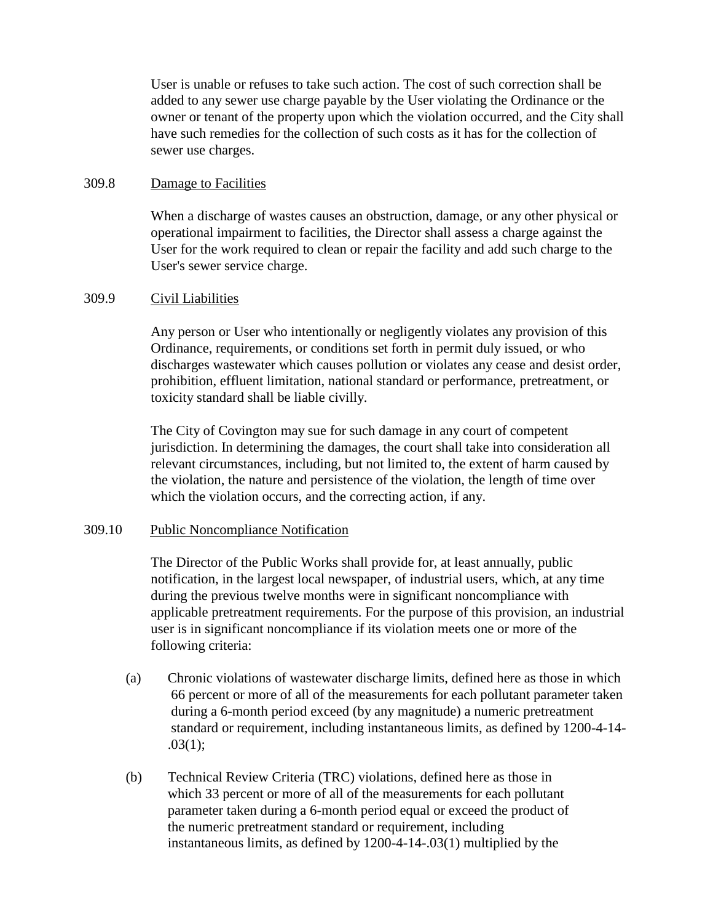User is unable or refuses to take such action. The cost of such correction shall be added to any sewer use charge payable by the User violating the Ordinance or the owner or tenant of the property upon which the violation occurred, and the City shall have such remedies for the collection of such costs as it has for the collection of sewer use charges.

## 309.8 Damage to Facilities

When a discharge of wastes causes an obstruction, damage, or any other physical or operational impairment to facilities, the Director shall assess a charge against the User for the work required to clean or repair the facility and add such charge to the User's sewer service charge.

### 309.9 Civil Liabilities

Any person or User who intentionally or negligently violates any provision of this Ordinance, requirements, or conditions set forth in permit duly issued, or who discharges wastewater which causes pollution or violates any cease and desist order, prohibition, effluent limitation, national standard or performance, pretreatment, or toxicity standard shall be liable civilly.

The City of Covington may sue for such damage in any court of competent jurisdiction. In determining the damages, the court shall take into consideration all relevant circumstances, including, but not limited to, the extent of harm caused by the violation, the nature and persistence of the violation, the length of time over which the violation occurs, and the correcting action, if any.

## 309.10 Public Noncompliance Notification

The Director of the Public Works shall provide for, at least annually, public notification, in the largest local newspaper, of industrial users, which, at any time during the previous twelve months were in significant noncompliance with applicable pretreatment requirements. For the purpose of this provision, an industrial user is in significant noncompliance if its violation meets one or more of the following criteria:

- (a) Chronic violations of wastewater discharge limits, defined here as those in which 66 percent or more of all of the measurements for each pollutant parameter taken during a 6-month period exceed (by any magnitude) a numeric pretreatment standard or requirement, including instantaneous limits, as defined by 1200-4-14- .03(1);
- (b) Technical Review Criteria (TRC) violations, defined here as those in which 33 percent or more of all of the measurements for each pollutant parameter taken during a 6-month period equal or exceed the product of the numeric pretreatment standard or requirement, including instantaneous limits, as defined by 1200-4-14-.03(1) multiplied by the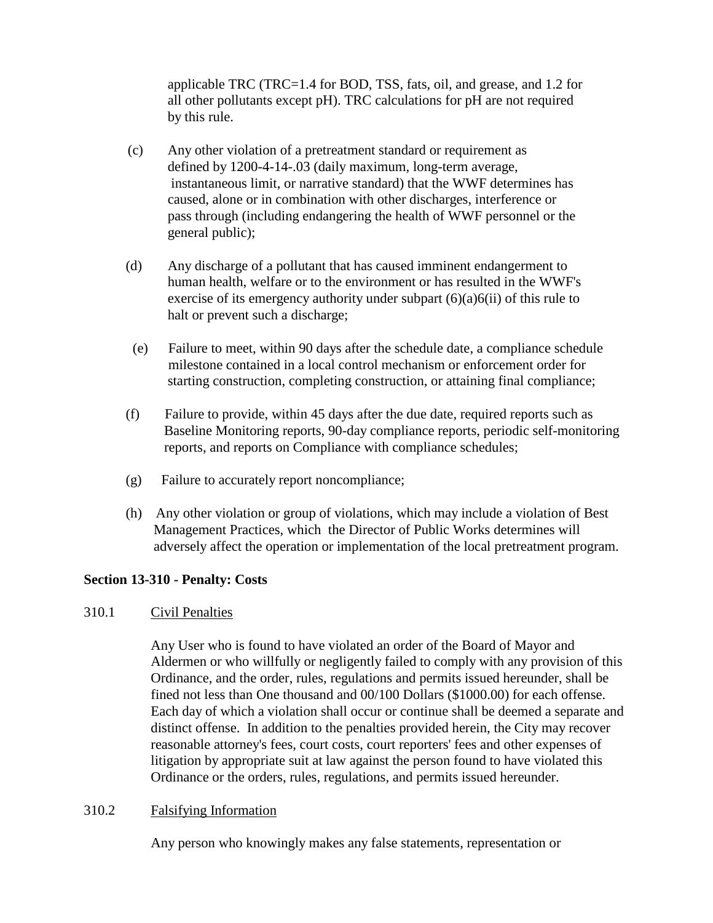applicable TRC (TRC=1.4 for BOD, TSS, fats, oil, and grease, and 1.2 for all other pollutants except pH). TRC calculations for pH are not required by this rule.

- (c) Any other violation of a pretreatment standard or requirement as defined by 1200-4-14-.03 (daily maximum, long-term average, instantaneous limit, or narrative standard) that the WWF determines has caused, alone or in combination with other discharges, interference or pass through (including endangering the health of WWF personnel or the general public);
- (d) Any discharge of a pollutant that has caused imminent endangerment to human health, welfare or to the environment or has resulted in the WWF's exercise of its emergency authority under subpart  $(6)(a)6(ii)$  of this rule to halt or prevent such a discharge;
- (e) Failure to meet, within 90 days after the schedule date, a compliance schedule milestone contained in a local control mechanism or enforcement order for starting construction, completing construction, or attaining final compliance;
- (f) Failure to provide, within 45 days after the due date, required reports such as Baseline Monitoring reports, 90-day compliance reports, periodic self-monitoring reports, and reports on Compliance with compliance schedules;
- (g) Failure to accurately report noncompliance;
- (h) Any other violation or group of violations, which may include a violation of Best Management Practices, which the Director of Public Works determines will adversely affect the operation or implementation of the local pretreatment program.

# **Section 13-310 - Penalty: Costs**

# 310.1 Civil Penalties

Any User who is found to have violated an order of the Board of Mayor and Aldermen or who willfully or negligently failed to comply with any provision of this Ordinance, and the order, rules, regulations and permits issued hereunder, shall be fined not less than One thousand and 00/100 Dollars (\$1000.00) for each offense. Each day of which a violation shall occur or continue shall be deemed a separate and distinct offense. In addition to the penalties provided herein, the City may recover reasonable attorney's fees, court costs, court reporters' fees and other expenses of litigation by appropriate suit at law against the person found to have violated this Ordinance or the orders, rules, regulations, and permits issued hereunder.

## 310.2 Falsifying Information

Any person who knowingly makes any false statements, representation or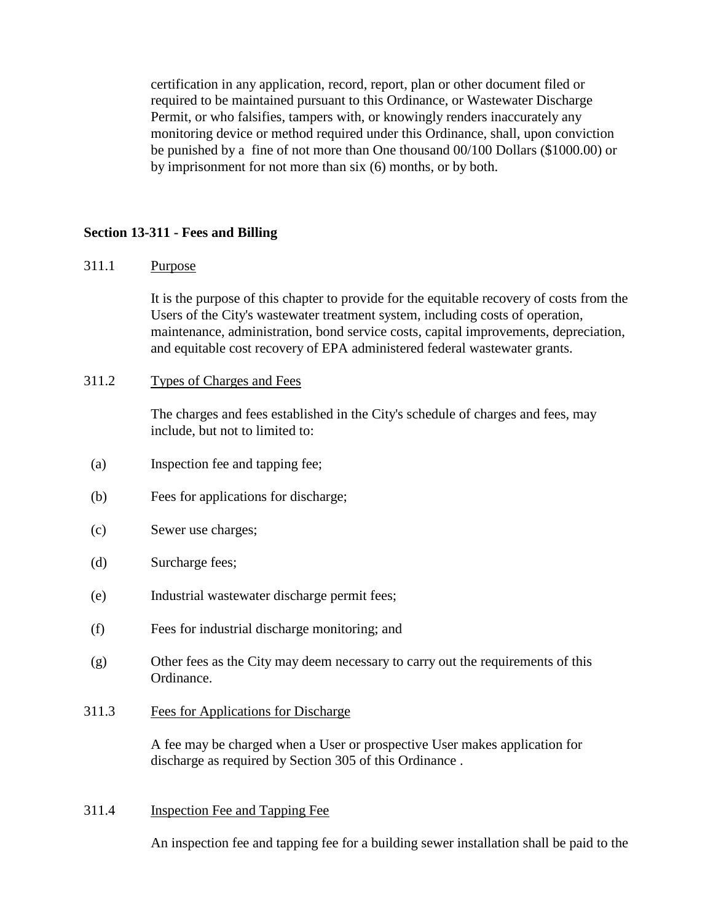certification in any application, record, report, plan or other document filed or required to be maintained pursuant to this Ordinance, or Wastewater Discharge Permit, or who falsifies, tampers with, or knowingly renders inaccurately any monitoring device or method required under this Ordinance, shall, upon conviction be punished by a fine of not more than One thousand 00/100 Dollars (\$1000.00) or by imprisonment for not more than six (6) months, or by both.

## **Section 13-311 - Fees and Billing**

## 311.1 Purpose

It is the purpose of this chapter to provide for the equitable recovery of costs from the Users of the City's wastewater treatment system, including costs of operation, maintenance, administration, bond service costs, capital improvements, depreciation, and equitable cost recovery of EPA administered federal wastewater grants.

### 311.2 Types of Charges and Fees

The charges and fees established in the City's schedule of charges and fees, may include, but not to limited to:

- (a) Inspection fee and tapping fee;
- (b) Fees for applications for discharge;
- (c) Sewer use charges;
- (d) Surcharge fees;
- (e) Industrial wastewater discharge permit fees;
- (f) Fees for industrial discharge monitoring; and
- (g) Other fees as the City may deem necessary to carry out the requirements of this Ordinance.
- 311.3 Fees for Applications for Discharge

A fee may be charged when a User or prospective User makes application for discharge as required by Section 305 of this Ordinance .

#### 311.4 Inspection Fee and Tapping Fee

An inspection fee and tapping fee for a building sewer installation shall be paid to the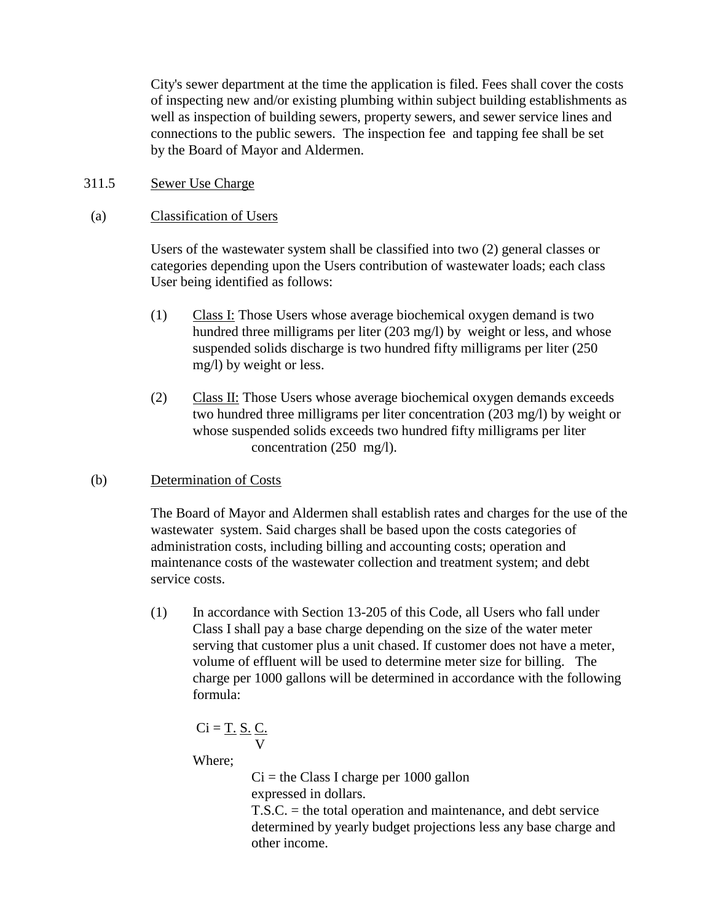City's sewer department at the time the application is filed. Fees shall cover the costs of inspecting new and/or existing plumbing within subject building establishments as well as inspection of building sewers, property sewers, and sewer service lines and connections to the public sewers. The inspection fee and tapping fee shall be set by the Board of Mayor and Aldermen.

311.5 Sewer Use Charge

## (a) Classification of Users

Users of the wastewater system shall be classified into two (2) general classes or categories depending upon the Users contribution of wastewater loads; each class User being identified as follows:

- (1) Class I: Those Users whose average biochemical oxygen demand is two hundred three milligrams per liter (203 mg/l) by weight or less, and whose suspended solids discharge is two hundred fifty milligrams per liter (250 mg/l) by weight or less.
- (2) Class II: Those Users whose average biochemical oxygen demands exceeds two hundred three milligrams per liter concentration (203 mg/l) by weight or whose suspended solids exceeds two hundred fifty milligrams per liter concentration (250 mg/l).
- (b) Determination of Costs

The Board of Mayor and Aldermen shall establish rates and charges for the use of the wastewater system. Said charges shall be based upon the costs categories of administration costs, including billing and accounting costs; operation and maintenance costs of the wastewater collection and treatment system; and debt service costs.

(1) In accordance with Section 13-205 of this Code, all Users who fall under Class I shall pay a base charge depending on the size of the water meter serving that customer plus a unit chased. If customer does not have a meter, volume of effluent will be used to determine meter size for billing. The charge per 1000 gallons will be determined in accordance with the following formula:

$$
Ci = \underline{T. S. C.}
$$

Where;

 $Ci =$  the Class I charge per 1000 gallon expressed in dollars.

T.S.C. = the total operation and maintenance, and debt service determined by yearly budget projections less any base charge and other income.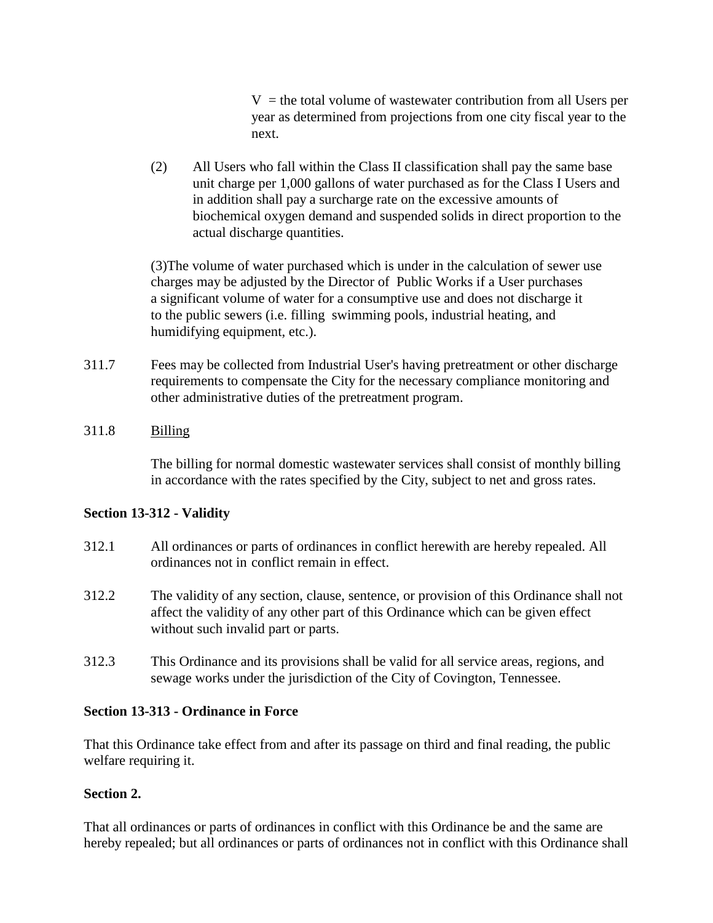$V =$  the total volume of wastewater contribution from all Users per year as determined from projections from one city fiscal year to the next.

(2) All Users who fall within the Class II classification shall pay the same base unit charge per 1,000 gallons of water purchased as for the Class I Users and in addition shall pay a surcharge rate on the excessive amounts of biochemical oxygen demand and suspended solids in direct proportion to the actual discharge quantities.

(3)The volume of water purchased which is under in the calculation of sewer use charges may be adjusted by the Director of Public Works if a User purchases a significant volume of water for a consumptive use and does not discharge it to the public sewers (i.e. filling swimming pools, industrial heating, and humidifying equipment, etc.).

311.7 Fees may be collected from Industrial User's having pretreatment or other discharge requirements to compensate the City for the necessary compliance monitoring and other administrative duties of the pretreatment program.

# 311.8 Billing

The billing for normal domestic wastewater services shall consist of monthly billing in accordance with the rates specified by the City, subject to net and gross rates.

# **Section 13-312 - Validity**

- 312.1 All ordinances or parts of ordinances in conflict herewith are hereby repealed. All ordinances not in conflict remain in effect.
- 312.2 The validity of any section, clause, sentence, or provision of this Ordinance shall not affect the validity of any other part of this Ordinance which can be given effect without such invalid part or parts.
- 312.3 This Ordinance and its provisions shall be valid for all service areas, regions, and sewage works under the jurisdiction of the City of Covington, Tennessee.

# **Section 13-313 - Ordinance in Force**

That this Ordinance take effect from and after its passage on third and final reading, the public welfare requiring it.

# **Section 2.**

That all ordinances or parts of ordinances in conflict with this Ordinance be and the same are hereby repealed; but all ordinances or parts of ordinances not in conflict with this Ordinance shall